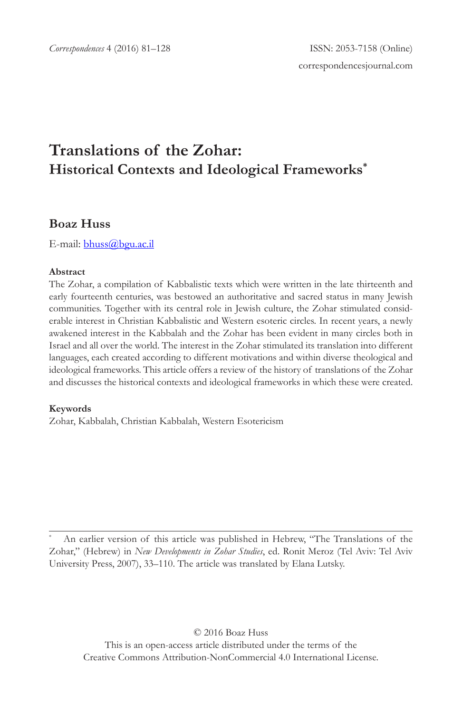# **Translations of the Zohar: Historical Contexts and Ideological Frameworks\***

# **Boaz Huss**

E-mail: bhuss@bgu.ac.il

### **Abstract**

The Zohar, a compilation of Kabbalistic texts which were written in the late thirteenth and early fourteenth centuries, was bestowed an authoritative and sacred status in many Jewish communities. Together with its central role in Jewish culture, the Zohar stimulated considerable interest in Christian Kabbalistic and Western esoteric circles. In recent years, a newly awakened interest in the Kabbalah and the Zohar has been evident in many circles both in Israel and all over the world. The interest in the Zohar stimulated its translation into different languages, each created according to different motivations and within diverse theological and ideological frameworks. This article offers a review of the history of translations of the Zohar and discusses the historical contexts and ideological frameworks in which these were created.

### **Keywords**

Zohar, Kabbalah, Christian Kabbalah, Western Esotericism

An earlier version of this article was published in Hebrew, "The Translations of the Zohar," (Hebrew) in *New Developments in Zohar Studies*, ed. Ronit Meroz (Tel Aviv: Tel Aviv University Press, 2007), 33–110. The article was translated by Elana Lutsky.

© 2016 Boaz Huss This is an open-access article distributed under the terms of the Creative Commons Attribution-NonCommercial 4.0 International License.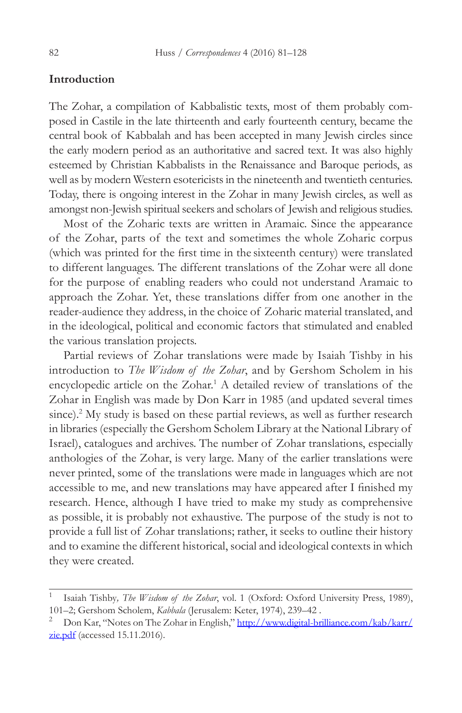## **Introduction**

The Zohar, a compilation of Kabbalistic texts, most of them probably composed in Castile in the late thirteenth and early fourteenth century, became the central book of Kabbalah and has been accepted in many Jewish circles since the early modern period as an authoritative and sacred text. It was also highly esteemed by Christian Kabbalists in the Renaissance and Baroque periods, as well as by modern Western esotericists in the nineteenth and twentieth centuries. Today, there is ongoing interest in the Zohar in many Jewish circles, as well as amongst non-Jewish spiritual seekers and scholars of Jewish and religious studies.

Most of the Zoharic texts are written in Aramaic. Since the appearance of the Zohar, parts of the text and sometimes the whole Zoharic corpus (which was printed for the first time in the sixteenth century) were translated to different languages. The different translations of the Zohar were all done for the purpose of enabling readers who could not understand Aramaic to approach the Zohar. Yet, these translations differ from one another in the reader-audience they address, in the choice of Zoharic material translated, and in the ideological, political and economic factors that stimulated and enabled the various translation projects.

Partial reviews of Zohar translations were made by Isaiah Tishby in his introduction to *The Wisdom of the Zohar*, and by Gershom Scholem in his encyclopedic article on the Zohar.<sup>1</sup> A detailed review of translations of the Zohar in English was made by Don Karr in 1985 (and updated several times since).<sup>2</sup> My study is based on these partial reviews, as well as further research in libraries (especially the Gershom Scholem Library at the National Library of Israel), catalogues and archives. The number of Zohar translations, especially anthologies of the Zohar, is very large. Many of the earlier translations were never printed, some of the translations were made in languages which are not accessible to me, and new translations may have appeared after I finished my research. Hence, although I have tried to make my study as comprehensive as possible, it is probably not exhaustive. The purpose of the study is not to provide a full list of Zohar translations; rather, it seeks to outline their history and to examine the different historical, social and ideological contexts in which they were created.

<sup>1</sup> Isaiah Tishby*, The Wisdom of the Zohar*, vol. 1 (Oxford: Oxford University Press, 1989), 101–2; Gershom Scholem, *Kabbala* (Jerusalem: Keter, 1974), 239–42 .<br><sup>2</sup> Don Kar, "Notes on The Zohar in English," <u>http://www.digital-brilliance.com/kab/karr/</u>

 $zie.pdf$  (accessed 15.11.2016).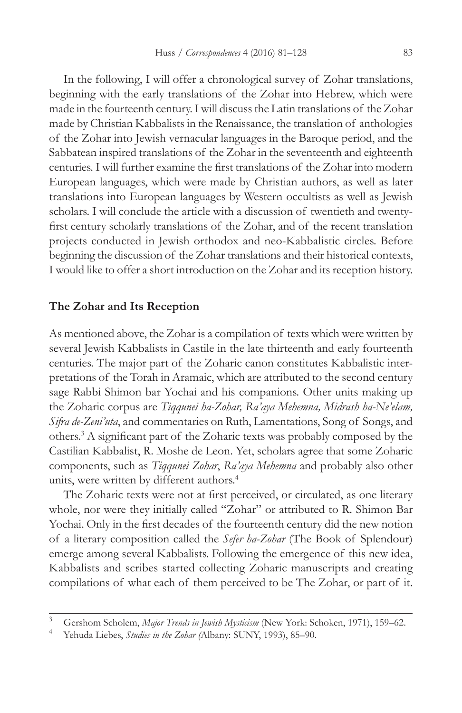In the following, I will offer a chronological survey of Zohar translations, beginning with the early translations of the Zohar into Hebrew, which were made in the fourteenth century. I will discuss the Latin translations of the Zohar made by Christian Kabbalists in the Renaissance, the translation of anthologies of the Zohar into Jewish vernacular languages in the Baroque period, and the Sabbatean inspired translations of the Zohar in the seventeenth and eighteenth centuries. I will further examine the first translations of the Zohar into modern European languages, which were made by Christian authors, as well as later translations into European languages by Western occultists as well as Jewish scholars. I will conclude the article with a discussion of twentieth and twentyfirst century scholarly translations of the Zohar, and of the recent translation projects conducted in Jewish orthodox and neo-Kabbalistic circles. Before beginning the discussion of the Zohar translations and their historical contexts, I would like to offer a short introduction on the Zohar and its reception history.

## **The Zohar and Its Reception**

As mentioned above, the Zohar is a compilation of texts which were written by several Jewish Kabbalists in Castile in the late thirteenth and early fourteenth centuries. The major part of the Zoharic canon constitutes Kabbalistic interpretations of the Torah in Aramaic, which are attributed to the second century sage Rabbi Shimon bar Yochai and his companions. Other units making up the Zoharic corpus are *Tiqqunei ha-Zohar, Ra'aya Mehemna, Midrash ha-Ne'elam, Sifra de-Zeni'uta*, and commentaries on Ruth, Lamentations, Song of Songs, and others.3 A significant part of the Zoharic texts was probably composed by the Castilian Kabbalist, R. Moshe de Leon. Yet, scholars agree that some Zoharic components, such as *Tiqqunei Zohar*, *Ra'aya Mehemna* and probably also other units, were written by different authors.<sup>4</sup>

The Zoharic texts were not at first perceived, or circulated, as one literary whole, nor were they initially called "Zohar" or attributed to R. Shimon Bar Yochai. Only in the first decades of the fourteenth century did the new notion of a literary composition called the *Sefer ha-Zohar* (The Book of Splendour) emerge among several Kabbalists. Following the emergence of this new idea, Kabbalists and scribes started collecting Zoharic manuscripts and creating compilations of what each of them perceived to be The Zohar, or part of it.

<sup>3</sup> Gershom Scholem, *Major Trends in Jewish Mysticism* (New York: Schoken, 1971), 159–62.

<sup>4</sup> Yehuda Liebes, *Studies in the Zohar (*Albany: SUNY, 1993), 85–90.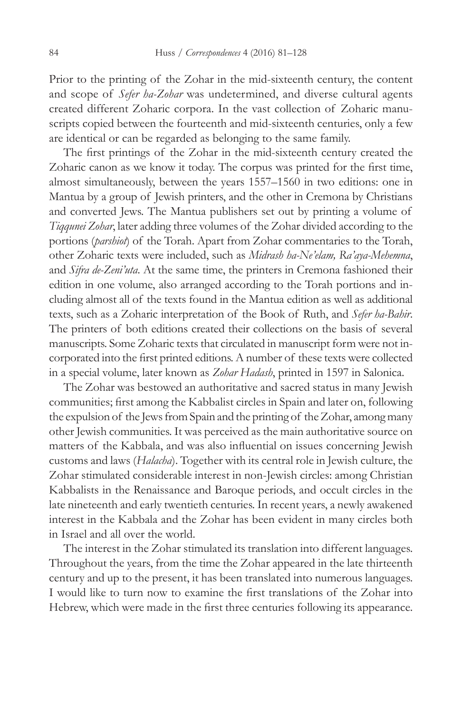Prior to the printing of the Zohar in the mid-sixteenth century, the content and scope of *Sefer ha-Zohar* was undetermined, and diverse cultural agents created different Zoharic corpora. In the vast collection of Zoharic manuscripts copied between the fourteenth and mid-sixteenth centuries, only a few are identical or can be regarded as belonging to the same family.

The first printings of the Zohar in the mid-sixteenth century created the Zoharic canon as we know it today. The corpus was printed for the first time, almost simultaneously, between the years 1557–1560 in two editions: one in Mantua by a group of Jewish printers, and the other in Cremona by Christians and converted Jews. The Mantua publishers set out by printing a volume of *Tiqqunei Zohar*, later adding three volumes of the Zohar divided according to the portions (*parshiot*) of the Torah. Apart from Zohar commentaries to the Torah, other Zoharic texts were included, such as *Midrash ha-Ne'elam, Ra'aya-Mehemna*, and *Sifra de-Zeni'uta*. At the same time, the printers in Cremona fashioned their edition in one volume, also arranged according to the Torah portions and including almost all of the texts found in the Mantua edition as well as additional texts, such as a Zoharic interpretation of the Book of Ruth, and *Sefer ha-Bahir*. The printers of both editions created their collections on the basis of several manuscripts. Some Zoharic texts that circulated in manuscript form were not incorporated into the first printed editions. A number of these texts were collected in a special volume, later known as *Zohar Hadash*, printed in 1597 in Salonica.

The Zohar was bestowed an authoritative and sacred status in many Jewish communities; first among the Kabbalist circles in Spain and later on, following the expulsion of the Jews from Spain and the printing of the Zohar, among many other Jewish communities. It was perceived as the main authoritative source on matters of the Kabbala, and was also influential on issues concerning Jewish customs and laws (*Halacha*). Together with its central role in Jewish culture, the Zohar stimulated considerable interest in non-Jewish circles: among Christian Kabbalists in the Renaissance and Baroque periods, and occult circles in the late nineteenth and early twentieth centuries. In recent years, a newly awakened interest in the Kabbala and the Zohar has been evident in many circles both in Israel and all over the world.

The interest in the Zohar stimulated its translation into different languages. Throughout the years, from the time the Zohar appeared in the late thirteenth century and up to the present, it has been translated into numerous languages. I would like to turn now to examine the first translations of the Zohar into Hebrew, which were made in the first three centuries following its appearance.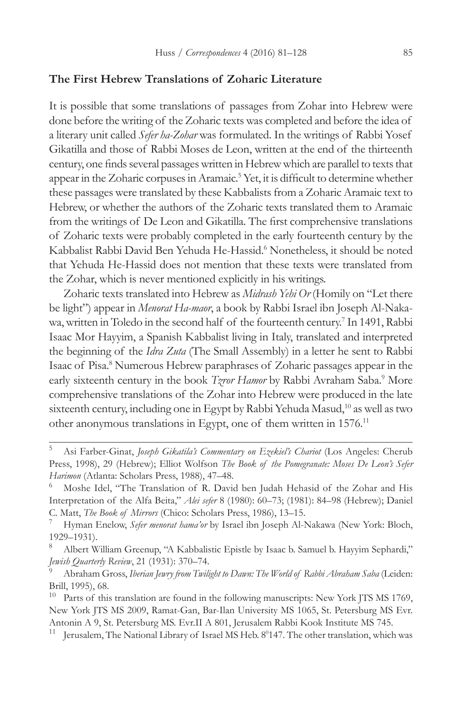### **The First Hebrew Translations of Zoharic Literature**

It is possible that some translations of passages from Zohar into Hebrew were done before the writing of the Zoharic texts was completed and before the idea of a literary unit called *Sefer ha-Zohar* was formulated. In the writings of Rabbi Yosef Gikatilla and those of Rabbi Moses de Leon, written at the end of the thirteenth century, one finds several passages written in Hebrew which are parallel to texts that appear in the Zoharic corpuses in Aramaic.<sup>5</sup> Yet, it is difficult to determine whether these passages were translated by these Kabbalists from a Zoharic Aramaic text to Hebrew, or whether the authors of the Zoharic texts translated them to Aramaic from the writings of De Leon and Gikatilla. The first comprehensive translations of Zoharic texts were probably completed in the early fourteenth century by the Kabbalist Rabbi David Ben Yehuda He-Hassid.<sup>6</sup> Nonetheless, it should be noted that Yehuda He-Hassid does not mention that these texts were translated from the Zohar, which is never mentioned explicitly in his writings.

Zoharic texts translated into Hebrew as *Midrash Yehi Or* (Homily on "Let there be light") appear in *Menorat Ha-maor*, a book by Rabbi Israel ibn Joseph Al-Nakawa, written in Toledo in the second half of the fourteenth century.7 In 1491, Rabbi Isaac Mor Hayyim, a Spanish Kabbalist living in Italy, translated and interpreted the beginning of the *Idra Zuta* (The Small Assembly) in a letter he sent to Rabbi Isaac of Pisa.8 Numerous Hebrew paraphrases of Zoharic passages appear in the early sixteenth century in the book *Tzror Hamor* by Rabbi Avraham Saba.<sup>9</sup> More comprehensive translations of the Zohar into Hebrew were produced in the late sixteenth century, including one in Egypt by Rabbi Yehuda Masud,<sup>10</sup> as well as two other anonymous translations in Egypt, one of them written in 1576.11

<sup>5</sup> Asi Farber-Ginat, *Joseph Gikatila's Commentary on Ezekiel's Chariot* (Los Angeles: Cherub Press, 1998), 29 (Hebrew); Elliot Wolfson *The Book of the Pomegranate: Moses De Leon's Sefer Harimon* (Atlanta: Scholars Press, 1988), 47–48.

Moshe Idel, "The Translation of R. David ben Judah Hehasid of the Zohar and His Interpretation of the Alfa Beita," *Alei sefer* 8 (1980): 60–73; (1981): 84–98 (Hebrew); Daniel C. Matt, *The Book of Mirrors* (Chico: Scholars Press, 1986), 13–15.

<sup>7</sup> Hyman Enelow, *Sefer menorat hama'or* by Israel ibn Joseph Al-Nakawa (New York: Bloch, 1929–1931).

Albert William Greenup, "A Kabbalistic Epistle by Isaac b. Samuel b. Hayyim Sephardi," *Jewish Quarterly Review*, 21 (1931): 370–74.

<sup>9</sup> Abraham Gross, *Iberian Jewry from Twilight to Dawn: The World of Rabbi Abraham Saba* (Leiden: Brill, 1995), 68.

 $10$  Parts of this translation are found in the following manuscripts: New York JTS MS 1769, New York JTS MS 2009, Ramat-Gan, Bar-Ilan University MS 1065, St. Petersburg MS Evr. Antonin A 9, St. Petersburg MS. Evr.II A 801, Jerusalem Rabbi Kook Institute MS 745.

<sup>&</sup>lt;sup>11</sup> Jerusalem, The National Library of Israel MS Heb. 8<sup>0</sup>147. The other translation, which was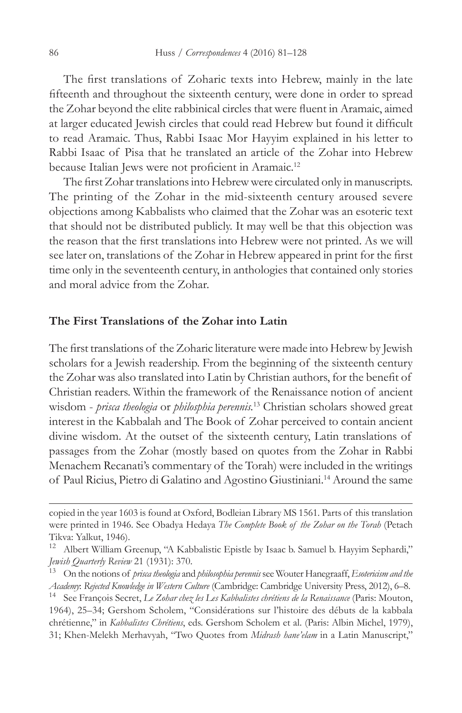The first translations of Zoharic texts into Hebrew, mainly in the late fifteenth and throughout the sixteenth century, were done in order to spread the Zohar beyond the elite rabbinical circles that were fluent in Aramaic, aimed at larger educated Jewish circles that could read Hebrew but found it difficult to read Aramaic. Thus, Rabbi Isaac Mor Hayyim explained in his letter to Rabbi Isaac of Pisa that he translated an article of the Zohar into Hebrew because Italian Jews were not proficient in Aramaic.<sup>12</sup>

The first Zohar translations into Hebrew were circulated only in manuscripts. The printing of the Zohar in the mid-sixteenth century aroused severe objections among Kabbalists who claimed that the Zohar was an esoteric text that should not be distributed publicly. It may well be that this objection was the reason that the first translations into Hebrew were not printed. As we will see later on, translations of the Zohar in Hebrew appeared in print for the first time only in the seventeenth century, in anthologies that contained only stories and moral advice from the Zohar.

### **The First Translations of the Zohar into Latin**

The first translations of the Zoharic literature were made into Hebrew by Jewish scholars for a Jewish readership. From the beginning of the sixteenth century the Zohar was also translated into Latin by Christian authors, for the benefit of Christian readers. Within the framework of the Renaissance notion of ancient wisdom - *prisca theologia* or *philosphia perennis.*<sup>13</sup> Christian scholars showed great interest in the Kabbalah and The Book of Zohar perceived to contain ancient divine wisdom. At the outset of the sixteenth century, Latin translations of passages from the Zohar (mostly based on quotes from the Zohar in Rabbi Menachem Recanati's commentary of the Torah) were included in the writings of Paul Ricius, Pietro di Galatino and Agostino Giustiniani.14 Around the same

copied in the year 1603 is found at Oxford, Bodleian Library MS 1561. Parts of this translation were printed in 1946. See Obadya Hedaya *The Complete Book of the Zohar on the Torah* (Petach Tikva: Yalkut, 1946).

<sup>12</sup> Albert William Greenup, "A Kabbalistic Epistle by Isaac b. Samuel b. Hayyim Sephardi," *Jewish Quarterly Review* 21 (1931): 370.

<sup>13</sup> On the notions of *prisca theologia* and *philosophia perennis* see Wouter Hanegraaff, *Esotericism and the Academy*: *Rejected Knowledge in Western Culture* (Cambridge: Cambridge University Press, 2012), 6–8.

<sup>14</sup> See François Secret, *Le Zohar chez les Les Kabbalistes chrétiens de la Renaissance* (Paris: Mouton, 1964), 25–34; Gershom Scholem, "Considérations sur l'histoire des débuts de la kabbala chrétienne," in *Kabbalistes Chrétiens*, eds. Gershom Scholem et al. (Paris: Albin Michel, 1979), 31; Khen-Melekh Merhavyah, "Two Quotes from *Midrash hane'elam* in a Latin Manuscript,"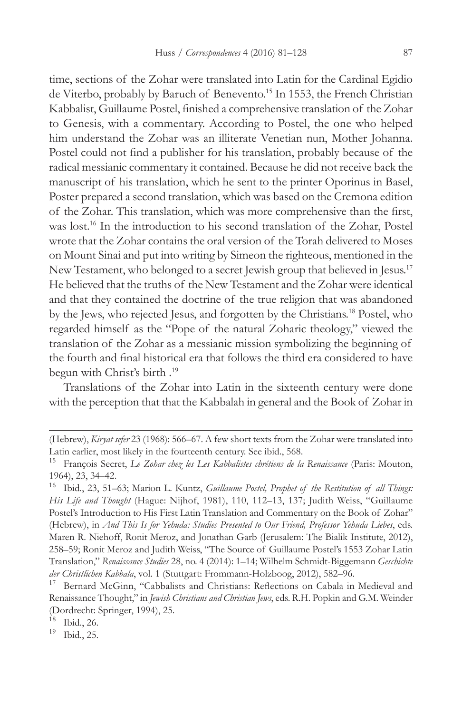time, sections of the Zohar were translated into Latin for the Cardinal Egidio de Viterbo, probably by Baruch of Benevento.<sup>15</sup> In 1553, the French Christian Kabbalist, Guillaume Postel, finished a comprehensive translation of the Zohar to Genesis, with a commentary. According to Postel, the one who helped him understand the Zohar was an illiterate Venetian nun, Mother Johanna. Postel could not find a publisher for his translation, probably because of the radical messianic commentary it contained. Because he did not receive back the manuscript of his translation, which he sent to the printer Oporinus in Basel, Poster prepared a second translation, which was based on the Cremona edition of the Zohar. This translation, which was more comprehensive than the first, was lost.<sup>16</sup> In the introduction to his second translation of the Zohar, Postel wrote that the Zohar contains the oral version of the Torah delivered to Moses on Mount Sinai and put into writing by Simeon the righteous, mentioned in the New Testament, who belonged to a secret Jewish group that believed in Jesus.<sup>17</sup> He believed that the truths of the New Testament and the Zohar were identical and that they contained the doctrine of the true religion that was abandoned by the Jews, who rejected Jesus, and forgotten by the Christians.18 Postel, who regarded himself as the "Pope of the natural Zoharic theology," viewed the translation of the Zohar as a messianic mission symbolizing the beginning of the fourth and final historical era that follows the third era considered to have begun with Christ's birth .19

Translations of the Zohar into Latin in the sixteenth century were done with the perception that that the Kabbalah in general and the Book of Zohar in

<sup>(</sup>Hebrew), *Kiryat sefer* 23 (1968): 566–67. A few short texts from the Zohar were translated into Latin earlier, most likely in the fourteenth century. See ibid., 568.

<sup>15</sup> François Secret, *Le Zohar chez les Les Kabbalistes chrétiens de la Renaissance* (Paris: Mouton, 1964), 23, 34–42.

<sup>16</sup> Ibid., 23, 51–63; Marion L. Kuntz, *Guillaume Postel, Prophet of the Restitution of all Things: His Life and Thought* (Hague: Nijhof, 1981), 110, 112–13, 137; Judith Weiss, "Guillaume Postel's Introduction to His First Latin Translation and Commentary on the Book of Zohar" (Hebrew), in *And This Is for Yehuda: Studies Presented to Our Friend, Professor Yehuda Liebes*, eds. Maren R. Niehoff, Ronit Meroz, and Jonathan Garb (Jerusalem: The Bialik Institute, 2012), 258–59; Ronit Meroz and Judith Weiss, "The Source of Guillaume Postel's 1553 Zohar Latin Translation," *Renaissance Studies* 28, no. 4 (2014): 1–14; Wilhelm Schmidt-Biggemann *Geschichte der Christlichen Kabbala*, vol. 1 (Stuttgart: Frommann-Holzboog, 2012), 582–96.

Bernard McGinn, "Cabbalists and Christians: Reflections on Cabala in Medieval and Renaissance Thought," in *Jewish Christians and Christian Jews*, eds. R.H. Popkin and G.M. Weinder (Dordrecht: Springer, 1994), 25.<br><sup>18</sup> Ibid. 26

 $\frac{18}{19}$  Ibid., 26.

Ibid., 25.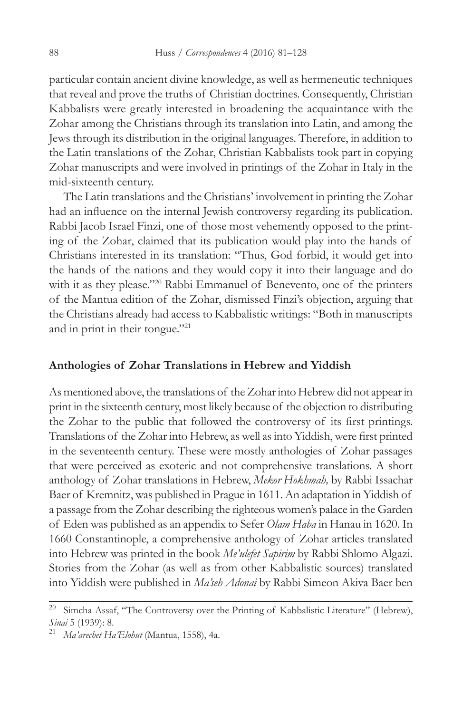particular contain ancient divine knowledge, as well as hermeneutic techniques that reveal and prove the truths of Christian doctrines. Consequently, Christian Kabbalists were greatly interested in broadening the acquaintance with the Zohar among the Christians through its translation into Latin, and among the Jews through its distribution in the original languages. Therefore, in addition to the Latin translations of the Zohar, Christian Kabbalists took part in copying Zohar manuscripts and were involved in printings of the Zohar in Italy in the mid-sixteenth century.

The Latin translations and the Christians' involvement in printing the Zohar had an influence on the internal Jewish controversy regarding its publication. Rabbi Jacob Israel Finzi, one of those most vehemently opposed to the printing of the Zohar, claimed that its publication would play into the hands of Christians interested in its translation: "Thus, God forbid, it would get into the hands of the nations and they would copy it into their language and do with it as they please."<sup>20</sup> Rabbi Emmanuel of Benevento, one of the printers of the Mantua edition of the Zohar, dismissed Finzi's objection, arguing that the Christians already had access to Kabbalistic writings: "Both in manuscripts and in print in their tongue."21

### **Anthologies of Zohar Translations in Hebrew and Yiddish**

As mentioned above, the translations of the Zohar into Hebrew did not appear in print in the sixteenth century, most likely because of the objection to distributing the Zohar to the public that followed the controversy of its first printings. Translations of the Zohar into Hebrew, as well as into Yiddish, were first printed in the seventeenth century. These were mostly anthologies of Zohar passages that were perceived as exoteric and not comprehensive translations. A short anthology of Zohar translations in Hebrew, *Mekor Hokhmah,* by Rabbi Issachar Baer of Kremnitz, was published in Prague in 1611. An adaptation in Yiddish of a passage from the Zohar describing the righteous women's palace in the Garden of Eden was published as an appendix to Sefer *Olam Haba* in Hanau in 1620. In 1660 Constantinople, a comprehensive anthology of Zohar articles translated into Hebrew was printed in the book *Me'ulefet Sapirim* by Rabbi Shlomo Algazi. Stories from the Zohar (as well as from other Kabbalistic sources) translated into Yiddish were published in *Ma'seh Adonai* by Rabbi Simeon Akiva Baer ben

<sup>&</sup>lt;sup>20</sup> Simcha Assaf, "The Controversy over the Printing of Kabbalistic Literature" (Hebrew), *Sinai* 5 (1939): 8. 21 *Ma'arechet Ha'Elohut* (Mantua, 1558), 4a.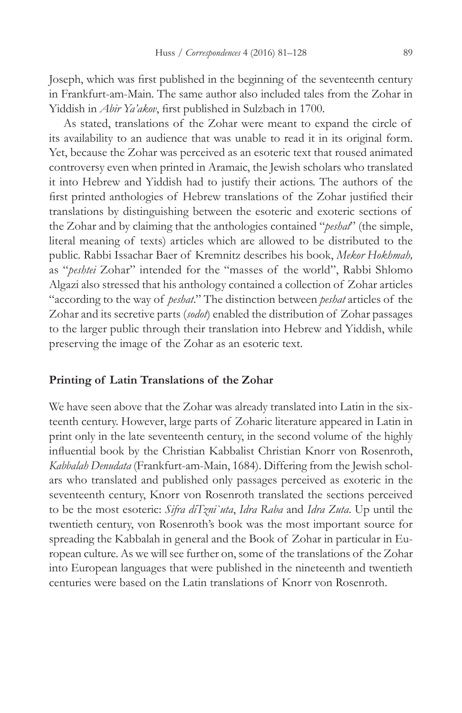Joseph, which was first published in the beginning of the seventeenth century in Frankfurt-am-Main. The same author also included tales from the Zohar in Yiddish in *Abir Ya'akov*, first published in Sulzbach in 1700.

As stated, translations of the Zohar were meant to expand the circle of its availability to an audience that was unable to read it in its original form. Yet, because the Zohar was perceived as an esoteric text that roused animated controversy even when printed in Aramaic, the Jewish scholars who translated it into Hebrew and Yiddish had to justify their actions. The authors of the first printed anthologies of Hebrew translations of the Zohar justified their translations by distinguishing between the esoteric and exoteric sections of the Zohar and by claiming that the anthologies contained "*peshat*" (the simple, literal meaning of texts) articles which are allowed to be distributed to the public. Rabbi Issachar Baer of Kremnitz describes his book, *Mekor Hokhmah,*  as "*peshtei* Zohar" intended for the "masses of the world", Rabbi Shlomo Algazi also stressed that his anthology contained a collection of Zohar articles "according to the way of *peshat*." The distinction between *peshat* articles of the Zohar and its secretive parts (*sodot*) enabled the distribution of Zohar passages to the larger public through their translation into Hebrew and Yiddish, while preserving the image of the Zohar as an esoteric text.

### **Printing of Latin Translations of the Zohar**

We have seen above that the Zohar was already translated into Latin in the sixteenth century. However, large parts of Zoharic literature appeared in Latin in print only in the late seventeenth century, in the second volume of the highly influential book by the Christian Kabbalist Christian Knorr von Rosenroth, *Kabbalah Denudata* (Frankfurt-am-Main, 1684). Differing from the Jewish scholars who translated and published only passages perceived as exoteric in the seventeenth century, Knorr von Rosenroth translated the sections perceived to be the most esoteric: *Sifra diTzni`uta*, *Idra Raba* and *Idra Zuta*. Up until the twentieth century, von Rosenroth's book was the most important source for spreading the Kabbalah in general and the Book of Zohar in particular in European culture. As we will see further on, some of the translations of the Zohar into European languages that were published in the nineteenth and twentieth centuries were based on the Latin translations of Knorr von Rosenroth.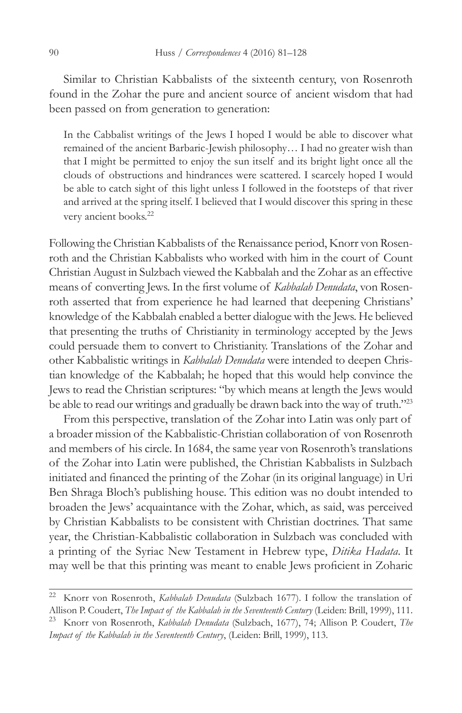Similar to Christian Kabbalists of the sixteenth century, von Rosenroth found in the Zohar the pure and ancient source of ancient wisdom that had been passed on from generation to generation:

In the Cabbalist writings of the Jews I hoped I would be able to discover what remained of the ancient Barbaric-Jewish philosophy… I had no greater wish than that I might be permitted to enjoy the sun itself and its bright light once all the clouds of obstructions and hindrances were scattered. I scarcely hoped I would be able to catch sight of this light unless I followed in the footsteps of that river and arrived at the spring itself. I believed that I would discover this spring in these very ancient books.<sup>22</sup>

Following the Christian Kabbalists of the Renaissance period, Knorr von Rosenroth and the Christian Kabbalists who worked with him in the court of Count Christian August in Sulzbach viewed the Kabbalah and the Zohar as an effective means of converting Jews. In the first volume of *Kabbalah Denudata*, von Rosenroth asserted that from experience he had learned that deepening Christians' knowledge of the Kabbalah enabled a better dialogue with the Jews. He believed that presenting the truths of Christianity in terminology accepted by the Jews could persuade them to convert to Christianity. Translations of the Zohar and other Kabbalistic writings in *Kabbalah Denudata* were intended to deepen Christian knowledge of the Kabbalah; he hoped that this would help convince the Jews to read the Christian scriptures: "by which means at length the Jews would be able to read our writings and gradually be drawn back into the way of truth."23

From this perspective, translation of the Zohar into Latin was only part of a broader mission of the Kabbalistic-Christian collaboration of von Rosenroth and members of his circle. In 1684, the same year von Rosenroth's translations of the Zohar into Latin were published, the Christian Kabbalists in Sulzbach initiated and financed the printing of the Zohar (in its original language) in Uri Ben Shraga Bloch's publishing house. This edition was no doubt intended to broaden the Jews' acquaintance with the Zohar, which, as said, was perceived by Christian Kabbalists to be consistent with Christian doctrines. That same year, the Christian-Kabbalistic collaboration in Sulzbach was concluded with a printing of the Syriac New Testament in Hebrew type, *Ditika Hadata*. It may well be that this printing was meant to enable Jews proficient in Zoharic

<sup>22</sup> Knorr von Rosenroth, *Kabbalah Denudata* (Sulzbach 1677). I follow the translation of Allison P. Coudert, *The Impact of the Kabbalah in the Seventeenth Century* (Leiden: Brill, 1999), 111. <sup>23</sup> Knorr von Rosenroth, *Kabbalah Denudata* (Sulzbach, 1677), 74; Allison P. Coudert, *The Impact of the Kabbalah in the Seventeenth Century*, (Leiden: Brill, 1999), 113.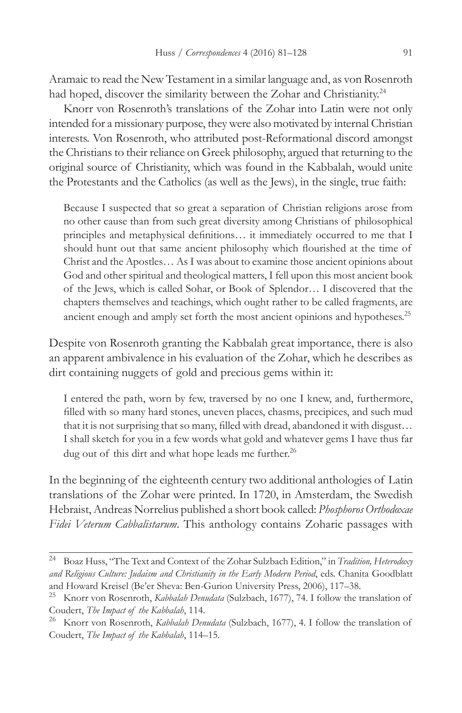Aramaic to read the New Testament in a similar language and, as von Rosenroth had hoped, discover the similarity between the Zohar and Christianity.<sup>24</sup>

Knorr von Rosenroth's translations of the Zohar into Latin were not only intended for a missionary purpose, they were also motivated by internal Christian interests. Von Rosenroth, who attributed post-Reformational discord amongst the Christians to their reliance on Greek philosophy, argued that returning to the original source of Christianity, which was found in the Kabbalah, would unite the Protestants and the Catholics (as well as the Jews), in the single, true faith:

Because I suspected that so great a separation of Christian religions arose from no other cause than from such great diversity among Christians of philosophical principles and metaphysical definitions… it immediately occurred to me that I should hunt out that same ancient philosophy which flourished at the time of Christ and the Apostles… As I was about to examine those ancient opinions about God and other spiritual and theological matters, I fell upon this most ancient book of the Jews, which is called Sohar, or Book of Splendor… I discovered that the chapters themselves and teachings, which ought rather to be called fragments, are ancient enough and amply set forth the most ancient opinions and hypotheses.<sup>25</sup>

Despite von Rosenroth granting the Kabbalah great importance, there is also an apparent ambivalence in his evaluation of the Zohar, which he describes as dirt containing nuggets of gold and precious gems within it:

I entered the path, worn by few, traversed by no one I knew, and, furthermore, filled with so many hard stones, uneven places, chasms, precipices, and such mud that it is not surprising that so many, filled with dread, abandoned it with disgust… I shall sketch for you in a few words what gold and whatever gems I have thus far dug out of this dirt and what hope leads me further.<sup>26</sup>

In the beginning of the eighteenth century two additional anthologies of Latin translations of the Zohar were printed. In 1720, in Amsterdam, the Swedish Hebraist, Andreas Norrelius published a short book called: *Phosphoros Orthodoxae Fidei Veterum Cabbalistarum*. This anthology contains Zoharic passages with

<sup>24</sup> Boaz Huss, "The Text and Context of the Zohar Sulzbach Edition," in *Tradition, Heterodoxy and Religious Culture: Judaism and Christianity in the Early Modern Period*, eds. Chanita Goodblatt and Howard Kreisel (Be'er Sheva: Ben-Gurion University Press, 2006), 117–38.

<sup>25</sup> Knorr von Rosenroth, *Kabbalah Denudata* (Sulzbach, 1677), 74. I follow the translation of Coudert, *The Impact of the Kabbalah*, 114.

<sup>26</sup> Knorr von Rosenroth, *Kabbalah Denudata* (Sulzbach, 1677), 4. I follow the translation of Coudert, *The Impact of the Kabbalah*, 114–15.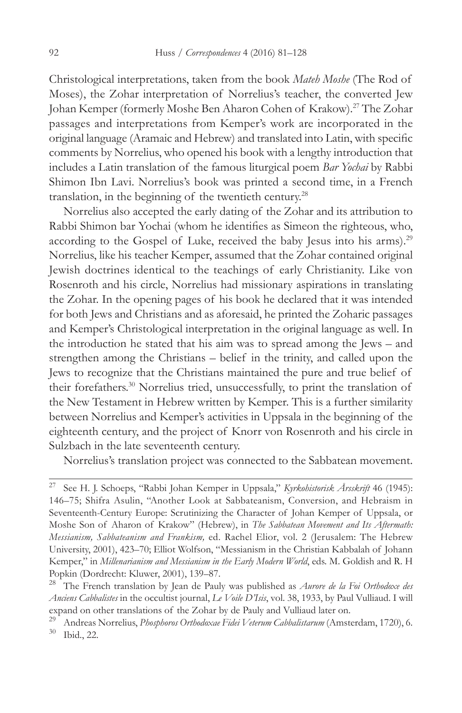Christological interpretations, taken from the book *Mateh Moshe* (The Rod of Moses), the Zohar interpretation of Norrelius's teacher, the converted Jew Johan Kemper (formerly Moshe Ben Aharon Cohen of Krakow).27 The Zohar passages and interpretations from Kemper's work are incorporated in the original language (Aramaic and Hebrew) and translated into Latin, with specific comments by Norrelius, who opened his book with a lengthy introduction that includes a Latin translation of the famous liturgical poem *Bar Yochai* by Rabbi Shimon Ibn Lavi. Norrelius's book was printed a second time, in a French translation, in the beginning of the twentieth century.28

Norrelius also accepted the early dating of the Zohar and its attribution to Rabbi Shimon bar Yochai (whom he identifies as Simeon the righteous, who, according to the Gospel of Luke, received the baby Jesus into his arms).<sup>29</sup> Norrelius, like his teacher Kemper, assumed that the Zohar contained original Jewish doctrines identical to the teachings of early Christianity. Like von Rosenroth and his circle, Norrelius had missionary aspirations in translating the Zohar. In the opening pages of his book he declared that it was intended for both Jews and Christians and as aforesaid, he printed the Zoharic passages and Kemper's Christological interpretation in the original language as well. In the introduction he stated that his aim was to spread among the Jews – and strengthen among the Christians – belief in the trinity, and called upon the Jews to recognize that the Christians maintained the pure and true belief of their forefathers.30 Norrelius tried, unsuccessfully, to print the translation of the New Testament in Hebrew written by Kemper. This is a further similarity between Norrelius and Kemper's activities in Uppsala in the beginning of the eighteenth century, and the project of Knorr von Rosenroth and his circle in Sulzbach in the late seventeenth century.

Norrelius's translation project was connected to the Sabbatean movement.

<sup>27</sup> See H. J. Schoeps, "Rabbi Johan Kemper in Uppsala," *Kyrkohistorisk Årsskrift* 46 (1945): 146–75; Shifra Asulin, "Another Look at Sabbateanism, Conversion, and Hebraism in Seventeenth-Century Europe: Scrutinizing the Character of Johan Kemper of Uppsala, or Moshe Son of Aharon of Krakow" (Hebrew), in *The Sabbatean Movement and Its Aftermath: Messianism, Sabbateanism and Frankism,* ed. Rachel Elior, vol. 2 (Jerusalem: The Hebrew University, 2001), 423–70; Elliot Wolfson, "Messianism in the Christian Kabbalah of Johann Kemper," in *Millenarianism and Messianism in the Early Modern World*, eds. M. Goldish and R. H Popkin (Dordrecht: Kluwer, 2001), 139–87.<br><sup>28</sup> The French translation by Jean de Paul

<sup>28</sup> The French translation by Jean de Pauly was published as *Aurore de la Foi Orthodoxe des Anciens Cabbalistes* in the occultist journal, *Le Voile D'Isis*, vol. 38, 1933, by Paul Vulliaud. I will expand on other translations of the Zohar by de Pauly and Vulliaud later on.

<sup>29</sup> Andreas Norrelius, *Phosphoros Orthodoxae Fidei Veterum Cabbalistarum* (Amsterdam, 1720), 6. Ibid., 22.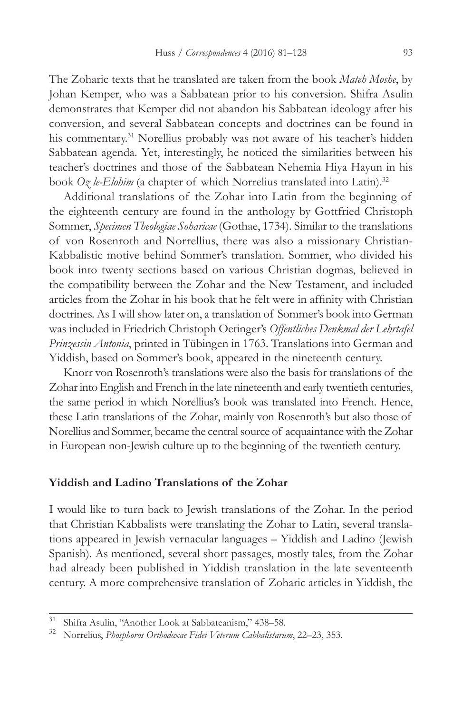The Zoharic texts that he translated are taken from the book *Mateh Moshe*, by Johan Kemper, who was a Sabbatean prior to his conversion. Shifra Asulin demonstrates that Kemper did not abandon his Sabbatean ideology after his conversion, and several Sabbatean concepts and doctrines can be found in his commentary.31 Norellius probably was not aware of his teacher's hidden Sabbatean agenda. Yet, interestingly, he noticed the similarities between his teacher's doctrines and those of the Sabbatean Nehemia Hiya Hayun in his book *Oz le-Elohim* (a chapter of which Norrelius translated into Latin).<sup>32</sup>

Additional translations of the Zohar into Latin from the beginning of the eighteenth century are found in the anthology by Gottfried Christoph Sommer, *Specimen Theologiae Soharicae* (Gothae, 1734). Similar to the translations of von Rosenroth and Norrellius, there was also a missionary Christian-Kabbalistic motive behind Sommer's translation. Sommer, who divided his book into twenty sections based on various Christian dogmas, believed in the compatibility between the Zohar and the New Testament, and included articles from the Zohar in his book that he felt were in affinity with Christian doctrines. As I will show later on, a translation of Sommer's book into German was included in Friedrich Christoph Oetinger's *Offentliches Denkmal der Lehrtafel Prinzessin Antonia*, printed in Tübingen in 1763. Translations into German and Yiddish, based on Sommer's book, appeared in the nineteenth century.

Knorr von Rosenroth's translations were also the basis for translations of the Zohar into English and French in the late nineteenth and early twentieth centuries, the same period in which Norellius's book was translated into French. Hence, these Latin translations of the Zohar, mainly von Rosenroth's but also those of Norellius and Sommer, became the central source of acquaintance with the Zohar in European non-Jewish culture up to the beginning of the twentieth century.

### **Yiddish and Ladino Translations of the Zohar**

I would like to turn back to Jewish translations of the Zohar. In the period that Christian Kabbalists were translating the Zohar to Latin, several translations appeared in Jewish vernacular languages – Yiddish and Ladino (Jewish Spanish). As mentioned, several short passages, mostly tales, from the Zohar had already been published in Yiddish translation in the late seventeenth century. A more comprehensive translation of Zoharic articles in Yiddish, the

<sup>&</sup>lt;sup>31</sup> Shifra Asulin, "Another Look at Sabbateanism," 438–58.<br><sup>32</sup> Norgelius, *Phochharas Orthodoxee Eidei Veterum Cohhalistary* 

<sup>32</sup> Norrelius, *Phosphoros Orthodoxae Fidei Veterum Cabbalistarum*, 22–23, 353.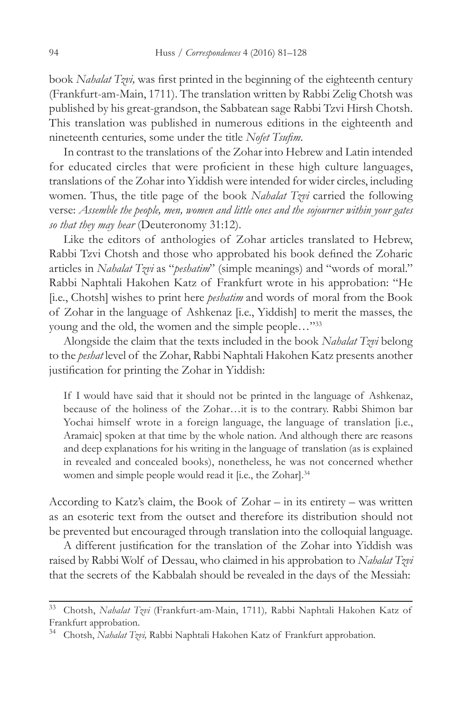book *Nahalat Tzvi,* was first printed in the beginning of the eighteenth century (Frankfurt-am-Main, 1711). The translation written by Rabbi Zelig Chotsh was published by his great-grandson, the Sabbatean sage Rabbi Tzvi Hirsh Chotsh. This translation was published in numerous editions in the eighteenth and nineteenth centuries, some under the title *Nofet Tsufim*.

In contrast to the translations of the Zohar into Hebrew and Latin intended for educated circles that were proficient in these high culture languages, translations of the Zohar into Yiddish were intended for wider circles, including women. Thus, the title page of the book *Nahalat Tzvi* carried the following verse: *Assemble the people, men, women and little ones and the sojourner within your gates so that they may hear* (Deuteronomy 31:12).

Like the editors of anthologies of Zohar articles translated to Hebrew, Rabbi Tzvi Chotsh and those who approbated his book defined the Zoharic articles in *Nahalat Tzvi* as "*peshatim*" (simple meanings) and "words of moral." Rabbi Naphtali Hakohen Katz of Frankfurt wrote in his approbation: "He [i.e., Chotsh] wishes to print here *peshatim* and words of moral from the Book of Zohar in the language of Ashkenaz [i.e., Yiddish] to merit the masses, the young and the old, the women and the simple people..."33

Alongside the claim that the texts included in the book *Nahalat Tzvi* belong to the *peshat* level of the Zohar, Rabbi Naphtali Hakohen Katz presents another justification for printing the Zohar in Yiddish:

If I would have said that it should not be printed in the language of Ashkenaz, because of the holiness of the Zohar…it is to the contrary. Rabbi Shimon bar Yochai himself wrote in a foreign language, the language of translation [i.e., Aramaic] spoken at that time by the whole nation. And although there are reasons and deep explanations for his writing in the language of translation (as is explained in revealed and concealed books), nonetheless, he was not concerned whether women and simple people would read it [i.e., the Zohar].<sup>34</sup>

According to Katz's claim, the Book of Zohar – in its entirety – was written as an esoteric text from the outset and therefore its distribution should not be prevented but encouraged through translation into the colloquial language.

A different justification for the translation of the Zohar into Yiddish was raised by Rabbi Wolf of Dessau, who claimed in his approbation to *Nahalat Tzvi* that the secrets of the Kabbalah should be revealed in the days of the Messiah:

<sup>33</sup> Chotsh, *Nahalat Tzvi* (Frankfurt-am-Main, 1711)*,* Rabbi Naphtali Hakohen Katz of Frankfurt approbation.

<sup>34</sup> Chotsh, *Nahalat Tzvi,* Rabbi Naphtali Hakohen Katz of Frankfurt approbation.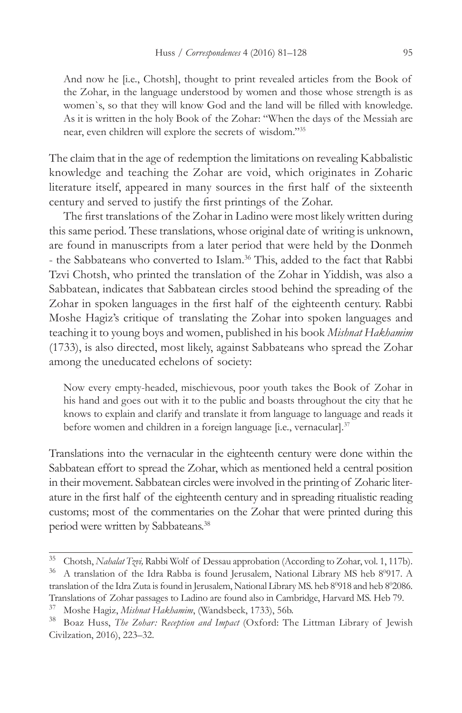And now he [i.e., Chotsh], thought to print revealed articles from the Book of the Zohar, in the language understood by women and those whose strength is as women`s, so that they will know God and the land will be filled with knowledge. As it is written in the holy Book of the Zohar: "When the days of the Messiah are near, even children will explore the secrets of wisdom."35

The claim that in the age of redemption the limitations on revealing Kabbalistic knowledge and teaching the Zohar are void, which originates in Zoharic literature itself, appeared in many sources in the first half of the sixteenth century and served to justify the first printings of the Zohar.

The first translations of the Zohar in Ladino were most likely written during this same period. These translations, whose original date of writing is unknown, are found in manuscripts from a later period that were held by the Donmeh - the Sabbateans who converted to Islam.<sup>36</sup> This, added to the fact that Rabbi Tzvi Chotsh, who printed the translation of the Zohar in Yiddish, was also a Sabbatean, indicates that Sabbatean circles stood behind the spreading of the Zohar in spoken languages in the first half of the eighteenth century. Rabbi Moshe Hagiz's critique of translating the Zohar into spoken languages and teaching it to young boys and women, published in his book *Mishnat Hakhamim* (1733), is also directed, most likely, against Sabbateans who spread the Zohar among the uneducated echelons of society:

Now every empty-headed, mischievous, poor youth takes the Book of Zohar in his hand and goes out with it to the public and boasts throughout the city that he knows to explain and clarify and translate it from language to language and reads it before women and children in a foreign language [i.e., vernacular].<sup>37</sup>

Translations into the vernacular in the eighteenth century were done within the Sabbatean effort to spread the Zohar, which as mentioned held a central position in their movement. Sabbatean circles were involved in the printing of Zoharic literature in the first half of the eighteenth century and in spreading ritualistic reading customs; most of the commentaries on the Zohar that were printed during this period were written by Sabbateans.38

<sup>35</sup> Chotsh, *Nahalat Tzvi,* Rabbi Wolf of Dessau approbation (According to Zohar, vol. 1, 117b).

<sup>&</sup>lt;sup>36</sup> A translation of the Idra Rabba is found Jerusalem, National Library MS heb 8<sup>0</sup>917. A translation of the Idra Zuta is found in Jerusalem, National Library MS. heb 8<sup>0</sup>918 and heb 8<sup>0</sup>2086. Translations of Zohar passages to Ladino are found also in Cambridge, Harvard MS. Heb 79.

<sup>37</sup> Moshe Hagiz, *Mishnat Hakhamim*, (Wandsbeck, 1733), 56b.

<sup>38</sup> Boaz Huss, *The Zohar: Reception and Impact* (Oxford: The Littman Library of Jewish Civilzation, 2016), 223–32.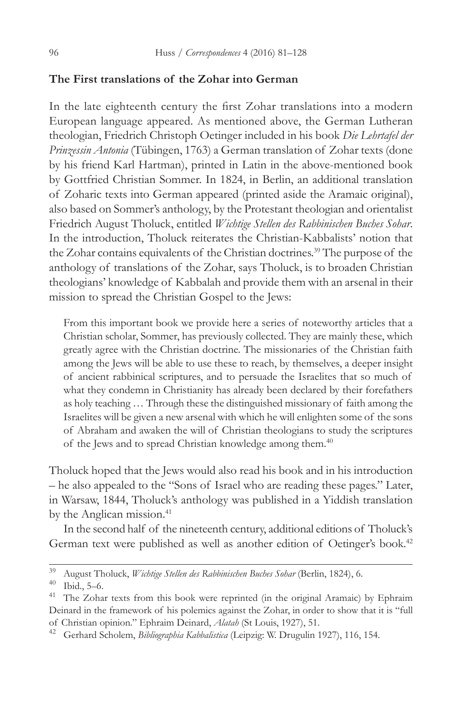### **The First translations of the Zohar into German**

In the late eighteenth century the first Zohar translations into a modern European language appeared. As mentioned above, the German Lutheran theologian, Friedrich Christoph Oetinger included in his book *Die Lehrtafel der Prinzessin Antonia* (Tübingen, 1763) a German translation of Zohar texts (done by his friend Karl Hartman), printed in Latin in the above-mentioned book by Gottfried Christian Sommer. In 1824, in Berlin, an additional translation of Zoharic texts into German appeared (printed aside the Aramaic original), also based on Sommer's anthology, by the Protestant theologian and orientalist Friedrich August Tholuck, entitled *Wichtige Stellen des Rabbinischen Buches Sohar*. In the introduction, Tholuck reiterates the Christian-Kabbalists' notion that the Zohar contains equivalents of the Christian doctrines.<sup>39</sup> The purpose of the anthology of translations of the Zohar, says Tholuck, is to broaden Christian theologians' knowledge of Kabbalah and provide them with an arsenal in their mission to spread the Christian Gospel to the Jews:

From this important book we provide here a series of noteworthy articles that a Christian scholar, Sommer, has previously collected. They are mainly these, which greatly agree with the Christian doctrine. The missionaries of the Christian faith among the Jews will be able to use these to reach, by themselves, a deeper insight of ancient rabbinical scriptures, and to persuade the Israelites that so much of what they condemn in Christianity has already been declared by their forefathers as holy teaching … Through these the distinguished missionary of faith among the Israelites will be given a new arsenal with which he will enlighten some of the sons of Abraham and awaken the will of Christian theologians to study the scriptures of the Jews and to spread Christian knowledge among them.40

Tholuck hoped that the Jews would also read his book and in his introduction – he also appealed to the "Sons of Israel who are reading these pages." Later, in Warsaw, 1844, Tholuck's anthology was published in a Yiddish translation by the Anglican mission.<sup>41</sup>

In the second half of the nineteenth century, additional editions of Tholuck's German text were published as well as another edition of Oetinger's book.<sup>42</sup>

<sup>39</sup> August Tholuck, *Wichtige Stellen des Rabbinischen Buches Sohar* (Berlin, 1824), 6.

Ibid., 5–6.

<sup>&</sup>lt;sup>41</sup> The Zohar texts from this book were reprinted (in the original Aramaic) by Ephraim Deinard in the framework of his polemics against the Zohar, in order to show that it is "full of Christian opinion." Ephraim Deinard, *Alatah* (St Louis, 1927), 51.

<sup>42</sup> Gerhard Scholem, *Bibliographia Kabbalistica* (Leipzig: W. Drugulin 1927), 116, 154.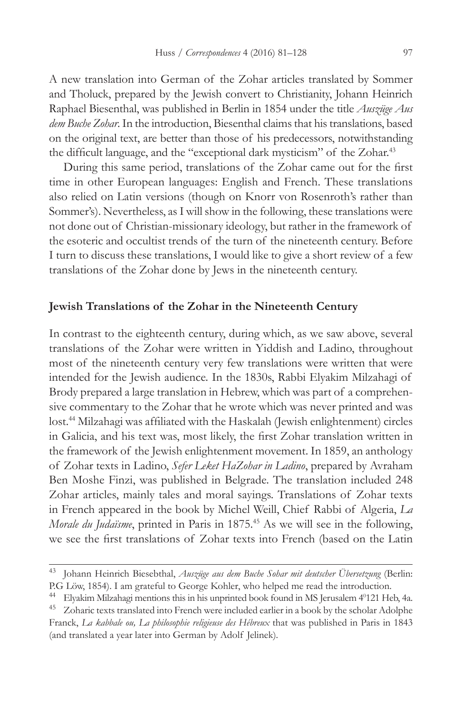A new translation into German of the Zohar articles translated by Sommer and Tholuck, prepared by the Jewish convert to Christianity, Johann Heinrich Raphael Biesenthal, was published in Berlin in 1854 under the title *Auszüge Aus dem Buche Zohar*. In the introduction, Biesenthal claims that his translations, based on the original text, are better than those of his predecessors, notwithstanding the difficult language, and the "exceptional dark mysticism" of the Zohar.<sup>43</sup>

During this same period, translations of the Zohar came out for the first time in other European languages: English and French. These translations also relied on Latin versions (though on Knorr von Rosenroth's rather than Sommer's). Nevertheless, as I will show in the following, these translations were not done out of Christian-missionary ideology, but rather in the framework of the esoteric and occultist trends of the turn of the nineteenth century. Before I turn to discuss these translations, I would like to give a short review of a few translations of the Zohar done by Jews in the nineteenth century.

# **Jewish Translations of the Zohar in the Nineteenth Century**

In contrast to the eighteenth century, during which, as we saw above, several translations of the Zohar were written in Yiddish and Ladino, throughout most of the nineteenth century very few translations were written that were intended for the Jewish audience. In the 1830s, Rabbi Elyakim Milzahagi of Brody prepared a large translation in Hebrew, which was part of a comprehensive commentary to the Zohar that he wrote which was never printed and was lost.44 Milzahagi was affiliated with the Haskalah (Jewish enlightenment) circles in Galicia, and his text was, most likely, the first Zohar translation written in the framework of the Jewish enlightenment movement. In 1859, an anthology of Zohar texts in Ladino, *Sefer Leket HaZohar in Ladino*, prepared by Avraham Ben Moshe Finzi, was published in Belgrade. The translation included 248 Zohar articles, mainly tales and moral sayings. Translations of Zohar texts in French appeared in the book by Michel Weill, Chief Rabbi of Algeria, *La Morale du Judaïsme*, printed in Paris in 1875.<sup>45</sup> As we will see in the following, we see the first translations of Zohar texts into French (based on the Latin

<sup>43</sup> Johann Heinrich Biesebthal, *Auszüge aus dem Buche Sohar mit deutscher Übersetzung* (Berlin: P.G Löw, 1854). I am grateful to George Kohler, who helped me read the introduction.

<sup>&</sup>lt;sup>44</sup> Elyakim Milzahagi mentions this in his unprinted book found in MS Jerusalem 4<sup>0</sup>121 Heb, 4a.

<sup>&</sup>lt;sup>45</sup> Zoharic texts translated into French were included earlier in a book by the scholar Adolphe Franck, *La kabbale ou, La philosophie religieuse des Hébreux* that was published in Paris in 1843 (and translated a year later into German by Adolf Jelinek)*.*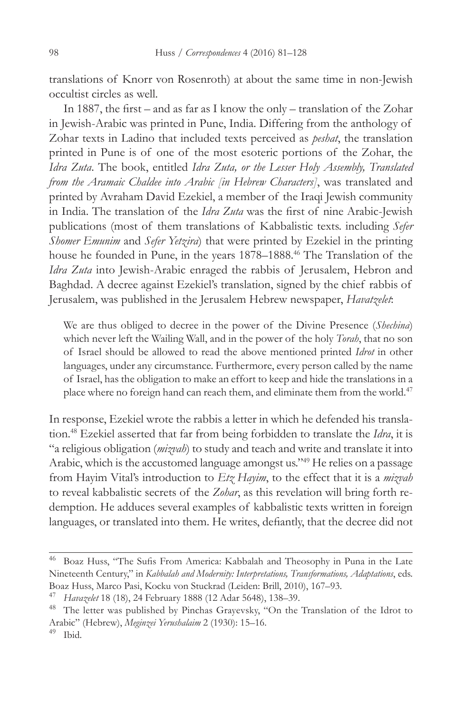translations of Knorr von Rosenroth) at about the same time in non-Jewish occultist circles as well.

In 1887, the first – and as far as I know the only – translation of the Zohar in Jewish-Arabic was printed in Pune, India. Differing from the anthology of Zohar texts in Ladino that included texts perceived as *peshat*, the translation printed in Pune is of one of the most esoteric portions of the Zohar, the *Idra Zuta*. The book, entitled *Idra Zuta, or the Lesser Holy Assembly, Translated from the Aramaic Chaldee into Arabic [in Hebrew Characters]*, was translated and printed by Avraham David Ezekiel, a member of the Iraqi Jewish community in India. The translation of the *Idra Zuta* was the first of nine Arabic-Jewish publications (most of them translations of Kabbalistic texts. including *Sefer Shomer Emunim* and *Sefer Yetzira*) that were printed by Ezekiel in the printing house he founded in Pune, in the years 1878–1888.<sup>46</sup> The Translation of the *Idra Zuta* into Jewish-Arabic enraged the rabbis of Jerusalem, Hebron and Baghdad. A decree against Ezekiel's translation, signed by the chief rabbis of Jerusalem, was published in the Jerusalem Hebrew newspaper, *Havatzelet*:

We are thus obliged to decree in the power of the Divine Presence (*Shechina*) which never left the Wailing Wall, and in the power of the holy *Torah*, that no son of Israel should be allowed to read the above mentioned printed *Idrot* in other languages, under any circumstance. Furthermore, every person called by the name of Israel, has the obligation to make an effort to keep and hide the translations in a place where no foreign hand can reach them, and eliminate them from the world.<sup>47</sup>

In response, Ezekiel wrote the rabbis a letter in which he defended his translation.48 Ezekiel asserted that far from being forbidden to translate the *Idra*, it is "a religious obligation (*mizvah*) to study and teach and write and translate it into Arabic, which is the accustomed language amongst us."<sup>49</sup> He relies on a passage from Hayim Vital's introduction to *Etz Hayim*, to the effect that it is a *mizvah* to reveal kabbalistic secrets of the *Zohar*, as this revelation will bring forth redemption. He adduces several examples of kabbalistic texts written in foreign languages, or translated into them. He writes, defiantly, that the decree did not

<sup>46</sup> Boaz Huss, "The Sufis From America: Kabbalah and Theosophy in Puna in the Late Nineteenth Century," in *Kabbalah and Modernity: Interpretations, Transformations, Adaptations*, eds. Boaz Huss, Marco Pasi, Kocku von Stuckrad (Leiden: Brill, 2010), 167–93.

<sup>47</sup> *Havazelet* 18 (18), 24 February 1888 (12 Adar 5648), 138–39.

<sup>48</sup> The letter was published by Pinchas Grayevsky, "On the Translation of the Idrot to Arabic" (Hebrew), *Meginzei Yerushalaim* 2 (1930): 15–16.

Ibid.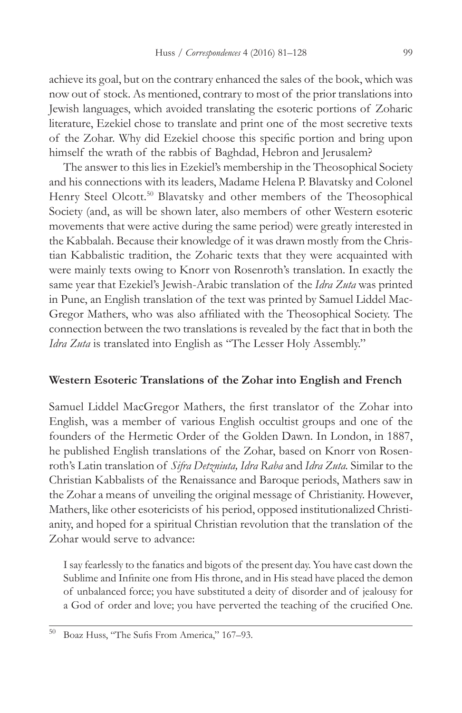achieve its goal, but on the contrary enhanced the sales of the book, which was now out of stock. As mentioned, contrary to most of the prior translations into Jewish languages, which avoided translating the esoteric portions of Zoharic literature, Ezekiel chose to translate and print one of the most secretive texts of the Zohar. Why did Ezekiel choose this specific portion and bring upon himself the wrath of the rabbis of Baghdad, Hebron and Jerusalem?

The answer to this lies in Ezekiel's membership in the Theosophical Society and his connections with its leaders, Madame Helena P. Blavatsky and Colonel Henry Steel Olcott.<sup>50</sup> Blavatsky and other members of the Theosophical Society (and, as will be shown later, also members of other Western esoteric movements that were active during the same period) were greatly interested in the Kabbalah. Because their knowledge of it was drawn mostly from the Christian Kabbalistic tradition, the Zoharic texts that they were acquainted with were mainly texts owing to Knorr von Rosenroth's translation. In exactly the same year that Ezekiel's Jewish-Arabic translation of the *Idra Zuta* was printed in Pune, an English translation of the text was printed by Samuel Liddel Mac-Gregor Mathers, who was also affiliated with the Theosophical Society. The connection between the two translations is revealed by the fact that in both the *Idra Zuta* is translated into English as "The Lesser Holy Assembly."

### **Western Esoteric Translations of the Zohar into English and French**

Samuel Liddel MacGregor Mathers, the first translator of the Zohar into English, was a member of various English occultist groups and one of the founders of the Hermetic Order of the Golden Dawn. In London, in 1887, he published English translations of the Zohar, based on Knorr von Rosenroth's Latin translation of *Sifra Detzniuta, Idra Raba* and *Idra Zuta.* Similar to the Christian Kabbalists of the Renaissance and Baroque periods, Mathers saw in the Zohar a means of unveiling the original message of Christianity. However, Mathers, like other esotericists of his period, opposed institutionalized Christianity, and hoped for a spiritual Christian revolution that the translation of the Zohar would serve to advance:

I say fearlessly to the fanatics and bigots of the present day. You have cast down the Sublime and Infinite one from His throne, and in His stead have placed the demon of unbalanced force; you have substituted a deity of disorder and of jealousy for a God of order and love; you have perverted the teaching of the crucified One.

<sup>50</sup> Boaz Huss, "The Sufis From America," 167–93.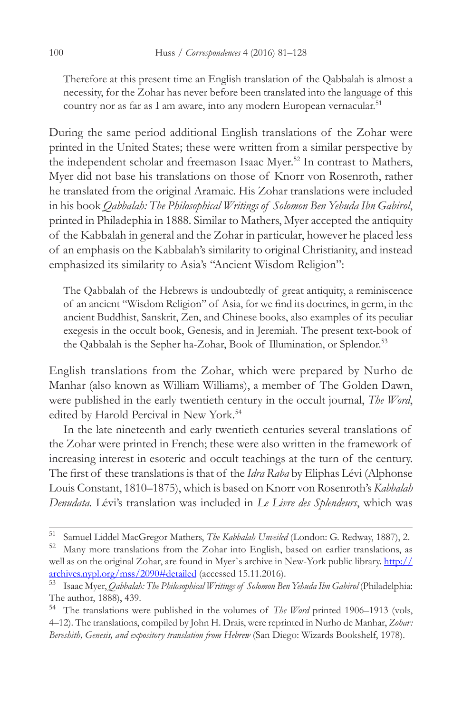Therefore at this present time an English translation of the Qabbalah is almost a necessity, for the Zohar has never before been translated into the language of this country nor as far as I am aware, into any modern European vernacular.<sup>51</sup>

During the same period additional English translations of the Zohar were printed in the United States; these were written from a similar perspective by the independent scholar and freemason Isaac Myer.<sup>52</sup> In contrast to Mathers, Myer did not base his translations on those of Knorr von Rosenroth, rather he translated from the original Aramaic. His Zohar translations were included in his book *Qabbalah: The Philosophical Writings of Solomon Ben Yehuda Ibn Gabirol*, printed in Philadephia in 1888. Similar to Mathers, Myer accepted the antiquity of the Kabbalah in general and the Zohar in particular, however he placed less of an emphasis on the Kabbalah's similarity to original Christianity, and instead emphasized its similarity to Asia's "Ancient Wisdom Religion":

The Qabbalah of the Hebrews is undoubtedly of great antiquity, a reminiscence of an ancient "Wisdom Religion" of Asia, for we find its doctrines, in germ, in the ancient Buddhist, Sanskrit, Zen, and Chinese books, also examples of its peculiar exegesis in the occult book, Genesis, and in Jeremiah. The present text-book of the Qabbalah is the Sepher ha-Zohar, Book of Illumination, or Splendor.<sup>53</sup>

English translations from the Zohar, which were prepared by Nurho de Manhar (also known as William Williams), a member of The Golden Dawn, were published in the early twentieth century in the occult journal, *The Word*, edited by Harold Percival in New York.<sup>54</sup>

In the late nineteenth and early twentieth centuries several translations of the Zohar were printed in French; these were also written in the framework of increasing interest in esoteric and occult teachings at the turn of the century. The first of these translations is that of the *Idra Raba* by Eliphas Lévi (Alphonse Louis Constant, 1810–1875), which is based on Knorr von Rosenroth's *Kabbalah Denudata.* Lévi's translation was included in *Le Livre des Splendeurs*, which was

<sup>51</sup> Samuel Liddel MacGregor Mathers, *The Kabbalah Unveiled* (London: G. Redway, 1887), 2.

Many more translations from the Zohar into English, based on earlier translations, as well as on the original Zohar, are found in Myer's archive in New-York public library. http:// archives.nypl.org/mss/2090#detailed (accessed 15.11.2016).

<sup>53</sup> Isaac Myer, *Qabbalah: The Philosophical Writings of Solomon Ben Yehuda Ibn Gabirol* (Philadelphia: The author, 1888), 439.

<sup>54</sup> The translations were published in the volumes of *The Word* printed 1906–1913 (vols, 4–12). The translations, compiled by John H. Drais, were reprinted in Nurho de Manhar, *Zohar: Bereshith, Genesis, and expository translation from Hebrew* (San Diego: Wizards Bookshelf, 1978).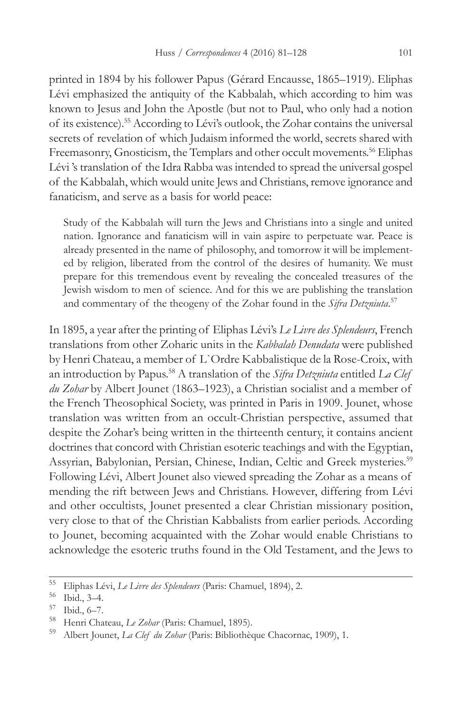printed in 1894 by his follower Papus (Gérard Encausse, 1865–1919). Eliphas Lévi emphasized the antiquity of the Kabbalah, which according to him was known to Jesus and John the Apostle (but not to Paul, who only had a notion of its existence).55 According to Lévi's outlook, the Zohar contains the universal secrets of revelation of which Judaism informed the world, secrets shared with Freemasonry, Gnosticism, the Templars and other occult movements.<sup>56</sup> Eliphas Lévi 's translation of the Idra Rabba was intended to spread the universal gospel of the Kabbalah, which would unite Jews and Christians, remove ignorance and fanaticism, and serve as a basis for world peace:

Study of the Kabbalah will turn the Jews and Christians into a single and united nation. Ignorance and fanaticism will in vain aspire to perpetuate war. Peace is already presented in the name of philosophy, and tomorrow it will be implemented by religion, liberated from the control of the desires of humanity. We must prepare for this tremendous event by revealing the concealed treasures of the Jewish wisdom to men of science. And for this we are publishing the translation and commentary of the theogeny of the Zohar found in the *Sifra Detzniuta*. 57

In 1895, a year after the printing of Eliphas Lévi's *Le Livre des Splendeurs*, French translations from other Zoharic units in the *Kabbalah Denudata* were published by Henri Chateau, a member of L`Ordre Kabbalistique de la Rose-Croix, with an introduction by Papus.58 A translation of the *Sifra Detzniuta* entitled *La Clef du Zohar* by Albert Jounet (1863–1923), a Christian socialist and a member of the French Theosophical Society, was printed in Paris in 1909. Jounet, whose translation was written from an occult-Christian perspective, assumed that despite the Zohar's being written in the thirteenth century, it contains ancient doctrines that concord with Christian esoteric teachings and with the Egyptian, Assyrian, Babylonian, Persian, Chinese, Indian, Celtic and Greek mysteries.<sup>59</sup> Following Lévi, Albert Jounet also viewed spreading the Zohar as a means of mending the rift between Jews and Christians. However, differing from Lévi and other occultists, Jounet presented a clear Christian missionary position, very close to that of the Christian Kabbalists from earlier periods. According to Jounet, becoming acquainted with the Zohar would enable Christians to acknowledge the esoteric truths found in the Old Testament, and the Jews to

<sup>55</sup> Eliphas Lévi, *Le Livre des Splendeurs* (Paris: Chamuel, 1894), 2.

 $\frac{56}{57}$  Ibid., 3–4.

 $^{57}$  Ibid., 6–7.

<sup>&</sup>lt;sup>58</sup> Henri Chateau, *Le Zohar* (Paris: Chamuel, 1895).<br><sup>59</sup> Albert Jounet, *La Clef, du Zohar* (Peris: Bibliothèe

<sup>59</sup> Albert Jounet, *La Clef du Zohar* (Paris: Bibliothèque Chacornac, 1909), 1.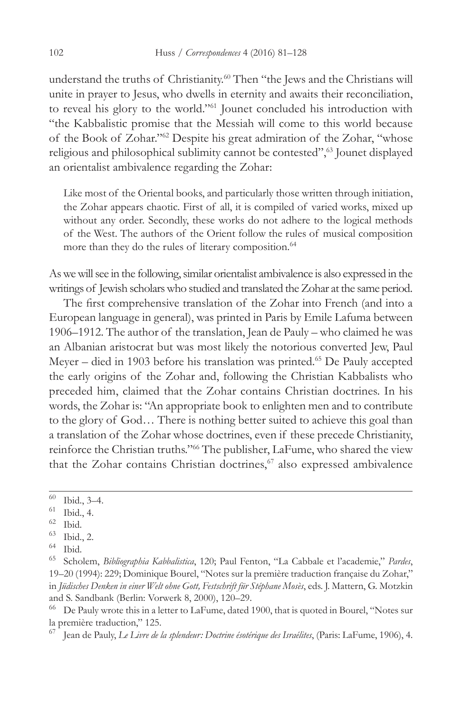understand the truths of Christianity.<sup>60</sup> Then "the Jews and the Christians will unite in prayer to Jesus, who dwells in eternity and awaits their reconciliation, to reveal his glory to the world."61 Jounet concluded his introduction with "the Kabbalistic promise that the Messiah will come to this world because of the Book of Zohar."62 Despite his great admiration of the Zohar, "whose religious and philosophical sublimity cannot be contested",<sup>63</sup> Jounet displayed an orientalist ambivalence regarding the Zohar:

Like most of the Oriental books, and particularly those written through initiation, the Zohar appears chaotic. First of all, it is compiled of varied works, mixed up without any order. Secondly, these works do not adhere to the logical methods of the West. The authors of the Orient follow the rules of musical composition more than they do the rules of literary composition.<sup>64</sup>

As we will see in the following, similar orientalist ambivalence is also expressed in the writings of Jewish scholars who studied and translated the Zohar at the same period.

The first comprehensive translation of the Zohar into French (and into a European language in general), was printed in Paris by Emile Lafuma between 1906–1912. The author of the translation, Jean de Pauly – who claimed he was an Albanian aristocrat but was most likely the notorious converted Jew, Paul Meyer – died in 1903 before his translation was printed.<sup>65</sup> De Pauly accepted the early origins of the Zohar and, following the Christian Kabbalists who preceded him, claimed that the Zohar contains Christian doctrines. In his words, the Zohar is: "An appropriate book to enlighten men and to contribute to the glory of God… There is nothing better suited to achieve this goal than a translation of the Zohar whose doctrines, even if these precede Christianity, reinforce the Christian truths."66 The publisher, LaFume, who shared the view that the Zohar contains Christian doctrines,<sup>67</sup> also expressed ambivalence

- $\frac{61}{62}$  Ibid., 4.
- $rac{62}{63}$  Ibid.

 $^{60}$  Ibid., 3-4.

 $\frac{63}{64}$  Ibid., 2.

 $^{64}$  Ibid.<br> $^{65}$  Scho

<sup>65</sup> Scholem, *Bibliographia Kabbalistica*, 120; Paul Fenton, "La Cabbale et l'academie," *Pardes*, 19–20 (1994): 229; Dominique Bourel, "Notes sur la première traduction française du Zohar," in *Jüdisches Denken in einer Welt ohne Gott, Festschrift für Stéphane Mosès*, eds. J. Mattern, G. Motzkin and S. Sandbank (Berlin: Vorwerk 8, 2000), 120–29.

<sup>66</sup> De Pauly wrote this in a letter to LaFume, dated 1900, that is quoted in Bourel, "Notes sur la première traduction," 125.

<sup>67</sup> Jean de Pauly, *Le Livre de la splendeur: Doctrine ésotérique des Israélites*, (Paris: LaFume, 1906), 4.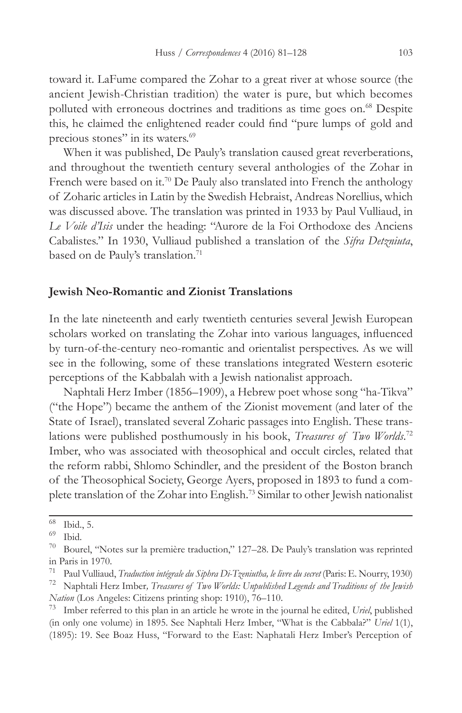toward it. LaFume compared the Zohar to a great river at whose source (the ancient Jewish-Christian tradition) the water is pure, but which becomes polluted with erroneous doctrines and traditions as time goes on.<sup>68</sup> Despite this, he claimed the enlightened reader could find "pure lumps of gold and precious stones" in its waters.<sup>69</sup>

When it was published, De Pauly's translation caused great reverberations, and throughout the twentieth century several anthologies of the Zohar in French were based on it.<sup>70</sup> De Pauly also translated into French the anthology of Zoharic articles in Latin by the Swedish Hebraist, Andreas Norellius, which was discussed above. The translation was printed in 1933 by Paul Vulliaud, in *Le Voile d'Isis* under the heading: "Aurore de la Foi Orthodoxe des Anciens Cabalistes." In 1930, Vulliaud published a translation of the *Sifra Detzniuta*, based on de Pauly's translation.<sup>71</sup>

# **Jewish Neo-Romantic and Zionist Translations**

In the late nineteenth and early twentieth centuries several Jewish European scholars worked on translating the Zohar into various languages, influenced by turn-of-the-century neo-romantic and orientalist perspectives. As we will see in the following, some of these translations integrated Western esoteric perceptions of the Kabbalah with a Jewish nationalist approach.

Naphtali Herz Imber (1856–1909), a Hebrew poet whose song "ha-Tikva" ("the Hope") became the anthem of the Zionist movement (and later of the State of Israel), translated several Zoharic passages into English. These translations were published posthumously in his book, *Treasures of Two Worlds*.<sup>72</sup> Imber, who was associated with theosophical and occult circles, related that the reform rabbi, Shlomo Schindler, and the president of the Boston branch of the Theosophical Society, George Ayers, proposed in 1893 to fund a complete translation of the Zohar into English.73 Similar to other Jewish nationalist

 $^{68}$  Ibid., 5.

Ibid.

 $70$  Bourel, "Notes sur la première traduction," 127–28. De Pauly's translation was reprinted in Paris in 1970.<br> $\frac{71 \text{ Paul } V_{\text{full}}}{2}$ 

<sup>71</sup> Paul Vulliaud, *Traduction intégrale du Siphra Di-Tzeniutha, le livre du secret* (Paris: E. Nourry, 1930)

<sup>72</sup> Naphtali Herz Imber*, Treasures of Two Worlds: Unpublished Legends and Traditions of the Jewish Nation* (Los Angeles: Citizens printing shop: 1910), 76–110.

<sup>73</sup> Imber referred to this plan in an article he wrote in the journal he edited, *Uriel*, published (in only one volume) in 1895. See Naphtali Herz Imber, "What is the Cabbala?" *Uriel* 1(1), (1895): 19. See Boaz Huss, "Forward to the East: Naphatali Herz Imber's Perception of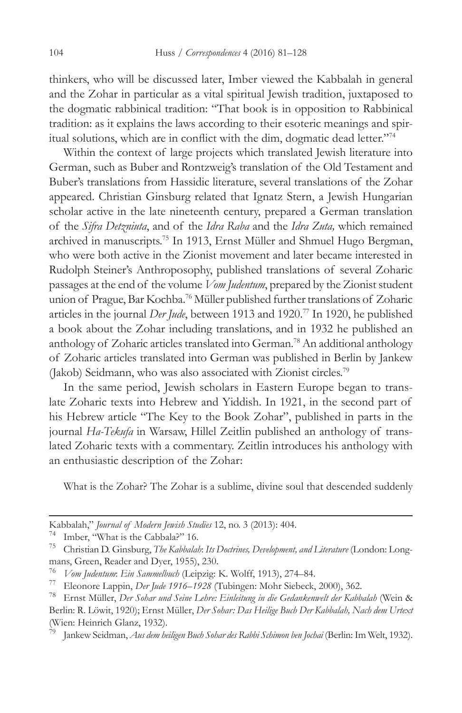thinkers, who will be discussed later, Imber viewed the Kabbalah in general and the Zohar in particular as a vital spiritual Jewish tradition, juxtaposed to the dogmatic rabbinical tradition: "That book is in opposition to Rabbinical tradition: as it explains the laws according to their esoteric meanings and spiritual solutions, which are in conflict with the dim, dogmatic dead letter."<sup>74</sup>

Within the context of large projects which translated Jewish literature into German, such as Buber and Rontzweig's translation of the Old Testament and Buber's translations from Hassidic literature, several translations of the Zohar appeared. Christian Ginsburg related that Ignatz Stern, a Jewish Hungarian scholar active in the late nineteenth century, prepared a German translation of the *Sifra Detzniuta*, and of the *Idra Raba* and the *Idra Zuta,* which remained archived in manuscripts.<sup>75</sup> In 1913, Ernst Müller and Shmuel Hugo Bergman, who were both active in the Zionist movement and later became interested in Rudolph Steiner's Anthroposophy, published translations of several Zoharic passages at the end of the volume *Vom Judentum*, prepared by the Zionist student union of Prague, Bar Kochba.<sup>76</sup> Müller published further translations of Zoharic articles in the journal *Der Jude*, between 1913 and 1920.77 In 1920, he published a book about the Zohar including translations, and in 1932 he published an anthology of Zoharic articles translated into German.<sup>78</sup> An additional anthology of Zoharic articles translated into German was published in Berlin by Jankew (Jakob) Seidmann, who was also associated with Zionist circles.79

In the same period, Jewish scholars in Eastern Europe began to translate Zoharic texts into Hebrew and Yiddish. In 1921, in the second part of his Hebrew article "The Key to the Book Zohar", published in parts in the journal *Ha-Tekufa* in Warsaw, Hillel Zeitlin published an anthology of translated Zoharic texts with a commentary. Zeitlin introduces his anthology with an enthusiastic description of the Zohar:

What is the Zohar? The Zohar is a sublime, divine soul that descended suddenly

Kabbalah," *Journal of Modern Jewish Studies* 12, no. 3 (2013): 404.

Imber, "What is the Cabbala?" 16.

<sup>75</sup> Christian D. Ginsburg, *The Kabbalah*: *Its Doctrines, Development, and Literature* (London: Longmans, Green, Reader and Dyer, 1955), 230.

<sup>76</sup> *Vom Judentum*: *Ein Sammelbuch* (Leipzig: K. Wolff, 1913), 274–84.

<sup>77</sup> Eleonore Lappin, *Der Jude 1916–1928* (Tubingen: Mohr Siebeck, 2000), 362.

<sup>78</sup> Ernst Müller, *Der Sohar und Seine Lehre: Einleitung in die Gedankenwelt der Kabbalah* (Wein & Berlin: R. Löwit, 1920); Ernst Müller, *Der Sohar: Das Heilige Buch Der Kabbalah, Nach dem Urtext* (Wien: Heinrich Glanz, 1932).

<sup>79</sup> Jankew Seidman, *Aus dem heiligen Buch Sohar des Rabbi Schimon ben Jochai* (Berlin: Im Welt, 1932).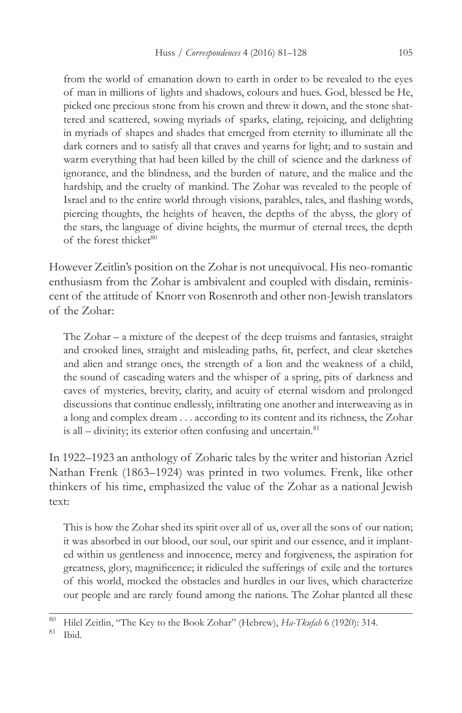from the world of emanation down to earth in order to be revealed to the eyes of man in millions of lights and shadows, colours and hues. God, blessed be He, picked one precious stone from his crown and threw it down, and the stone shattered and scattered, sowing myriads of sparks, elating, rejoicing, and delighting in myriads of shapes and shades that emerged from eternity to illuminate all the dark corners and to satisfy all that craves and yearns for light; and to sustain and warm everything that had been killed by the chill of science and the darkness of ignorance, and the blindness, and the burden of nature, and the malice and the hardship, and the cruelty of mankind. The Zohar was revealed to the people of Israel and to the entire world through visions, parables, tales, and flashing words, piercing thoughts, the heights of heaven, the depths of the abyss, the glory of the stars, the language of divine heights, the murmur of eternal trees, the depth of the forest thicket<sup>80</sup>

However Zeitlin's position on the Zohar is not unequivocal. His neo-romantic enthusiasm from the Zohar is ambivalent and coupled with disdain, reminiscent of the attitude of Knorr von Rosenroth and other non-Jewish translators of the Zohar:

The Zohar – a mixture of the deepest of the deep truisms and fantasies, straight and crooked lines, straight and misleading paths, fit, perfect, and clear sketches and alien and strange ones, the strength of a lion and the weakness of a child, the sound of cascading waters and the whisper of a spring, pits of darkness and caves of mysteries, brevity, clarity, and acuity of eternal wisdom and prolonged discussions that continue endlessly, infiltrating one another and interweaving as in a long and complex dream . . . according to its content and its richness, the Zohar is all – divinity; its exterior often confusing and uncertain. $81$ 

In 1922–1923 an anthology of Zoharic tales by the writer and historian Azriel Nathan Frenk (1863–1924) was printed in two volumes. Frenk, like other thinkers of his time, emphasized the value of the Zohar as a national Jewish text:

This is how the Zohar shed its spirit over all of us, over all the sons of our nation; it was absorbed in our blood, our soul, our spirit and our essence, and it implanted within us gentleness and innocence, mercy and forgiveness, the aspiration for greatness, glory, magnificence; it ridiculed the sufferings of exile and the tortures of this world, mocked the obstacles and hurdles in our lives, which characterize our people and are rarely found among the nations. The Zohar planted all these

<sup>80</sup> Hilel Zeitlin, "The Key to the Book Zohar" (Hebrew), *Ha-Tkufah* 6 (1920): 314.

Ibid.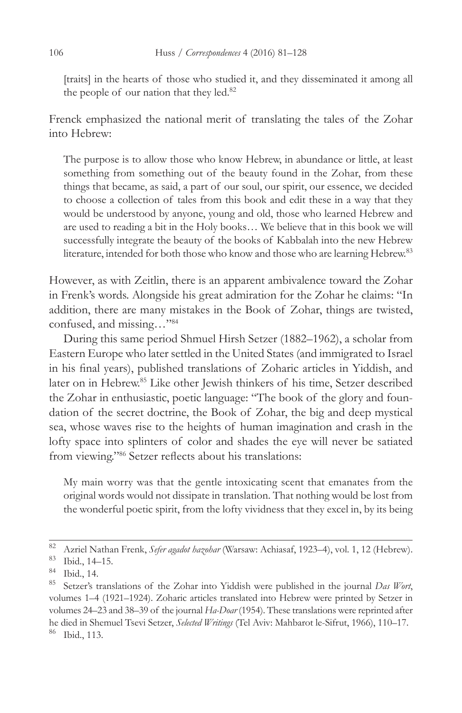[traits] in the hearts of those who studied it, and they disseminated it among all the people of our nation that they led.<sup>82</sup>

Frenck emphasized the national merit of translating the tales of the Zohar into Hebrew:

The purpose is to allow those who know Hebrew, in abundance or little, at least something from something out of the beauty found in the Zohar, from these things that became, as said, a part of our soul, our spirit, our essence, we decided to choose a collection of tales from this book and edit these in a way that they would be understood by anyone, young and old, those who learned Hebrew and are used to reading a bit in the Holy books… We believe that in this book we will successfully integrate the beauty of the books of Kabbalah into the new Hebrew literature, intended for both those who know and those who are learning Hebrew.<sup>83</sup>

However, as with Zeitlin, there is an apparent ambivalence toward the Zohar in Frenk's words. Alongside his great admiration for the Zohar he claims: "In addition, there are many mistakes in the Book of Zohar, things are twisted, confused, and missing…"84

During this same period Shmuel Hirsh Setzer (1882–1962), a scholar from Eastern Europe who later settled in the United States (and immigrated to Israel in his final years), published translations of Zoharic articles in Yiddish, and later on in Hebrew.85 Like other Jewish thinkers of his time, Setzer described the Zohar in enthusiastic, poetic language: "The book of the glory and foundation of the secret doctrine, the Book of Zohar, the big and deep mystical sea, whose waves rise to the heights of human imagination and crash in the lofty space into splinters of color and shades the eye will never be satiated from viewing."<sup>86</sup> Setzer reflects about his translations:

My main worry was that the gentle intoxicating scent that emanates from the original words would not dissipate in translation. That nothing would be lost from the wonderful poetic spirit, from the lofty vividness that they excel in, by its being

<sup>82</sup> Azriel Nathan Frenk, *Sefer agadot hazohar* (Warsaw: Achiasaf, 1923–4), vol. 1, 12 (Hebrew).

<sup>83</sup> Ibid., 14–15.

<sup>84</sup> Ibid., 14.

<sup>85</sup> Setzer's translations of the Zohar into Yiddish were published in the journal *Das Wort*, volumes 1–4 (1921–1924). Zoharic articles translated into Hebrew were printed by Setzer in volumes 24–23 and 38–39 of the journal *Ha-Doar* (1954). These translations were reprinted after he died in Shemuel Tsevi Setzer, *Selected Writings* (Tel Aviv: Mahbarot le-Sifrut, 1966), 110–17. <sup>86</sup> Ibid., 113.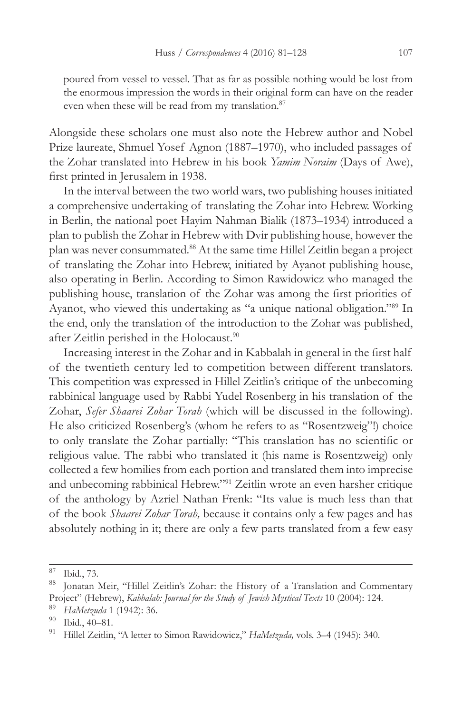poured from vessel to vessel. That as far as possible nothing would be lost from the enormous impression the words in their original form can have on the reader even when these will be read from my translation.<sup>87</sup>

Alongside these scholars one must also note the Hebrew author and Nobel Prize laureate, Shmuel Yosef Agnon (1887–1970), who included passages of the Zohar translated into Hebrew in his book *Yamim Noraim* (Days of Awe), first printed in Jerusalem in 1938.

In the interval between the two world wars, two publishing houses initiated a comprehensive undertaking of translating the Zohar into Hebrew. Working in Berlin, the national poet Hayim Nahman Bialik (1873–1934) introduced a plan to publish the Zohar in Hebrew with Dvir publishing house, however the plan was never consummated.88 At the same time Hillel Zeitlin began a project of translating the Zohar into Hebrew, initiated by Ayanot publishing house, also operating in Berlin. According to Simon Rawidowicz who managed the publishing house, translation of the Zohar was among the first priorities of Ayanot, who viewed this undertaking as "a unique national obligation."<sup>89</sup> In the end, only the translation of the introduction to the Zohar was published, after Zeitlin perished in the Holocaust.<sup>90</sup>

Increasing interest in the Zohar and in Kabbalah in general in the first half of the twentieth century led to competition between different translators. This competition was expressed in Hillel Zeitlin's critique of the unbecoming rabbinical language used by Rabbi Yudel Rosenberg in his translation of the Zohar, *Sefer Shaarei Zohar Torah* (which will be discussed in the following). He also criticized Rosenberg's (whom he refers to as "Rosentzweig"!) choice to only translate the Zohar partially: "This translation has no scientific or religious value. The rabbi who translated it (his name is Rosentzweig) only collected a few homilies from each portion and translated them into imprecise and unbecoming rabbinical Hebrew."91 Zeitlin wrote an even harsher critique of the anthology by Azriel Nathan Frenk: "Its value is much less than that of the book *Shaarei Zohar Torah,* because it contains only a few pages and has absolutely nothing in it; there are only a few parts translated from a few easy

 $\begin{array}{c} 87 \\ 88 \end{array}$  Ibid., 73.

Jonatan Meir, "Hillel Zeitlin's Zohar: the History of a Translation and Commentary Project" (Hebrew), *Kabbalah: Journal for the Study of Jewish Mystical Texts* 10 (2004): 124.

<sup>89</sup> *HaMetzuda* 1 (1942): 36.

 $^{90}$  Ibid., 40–81.

<sup>91</sup> Hillel Zeitlin, "A letter to Simon Rawidowicz," *HaMetzuda,* vols. 3–4 (1945): 340.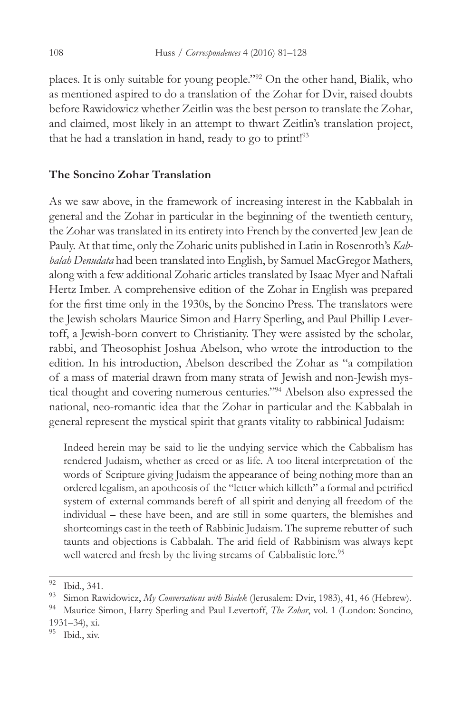places. It is only suitable for young people."92 On the other hand, Bialik, who as mentioned aspired to do a translation of the Zohar for Dvir, raised doubts before Rawidowicz whether Zeitlin was the best person to translate the Zohar, and claimed, most likely in an attempt to thwart Zeitlin's translation project, that he had a translation in hand, ready to go to print!<sup>93</sup>

# **The Soncino Zohar Translation**

As we saw above, in the framework of increasing interest in the Kabbalah in general and the Zohar in particular in the beginning of the twentieth century, the Zohar was translated in its entirety into French by the converted Jew Jean de Pauly. At that time, only the Zoharic units published in Latin in Rosenroth's *Kabbalah Denudata* had been translated into English, by Samuel MacGregor Mathers, along with a few additional Zoharic articles translated by Isaac Myer and Naftali Hertz Imber. A comprehensive edition of the Zohar in English was prepared for the first time only in the 1930s, by the Soncino Press. The translators were the Jewish scholars Maurice Simon and Harry Sperling, and Paul Phillip Levertoff, a Jewish-born convert to Christianity. They were assisted by the scholar, rabbi, and Theosophist Joshua Abelson, who wrote the introduction to the edition. In his introduction, Abelson described the Zohar as "a compilation of a mass of material drawn from many strata of Jewish and non-Jewish mystical thought and covering numerous centuries."94 Abelson also expressed the national, neo-romantic idea that the Zohar in particular and the Kabbalah in general represent the mystical spirit that grants vitality to rabbinical Judaism:

Indeed herein may be said to lie the undying service which the Cabbalism has rendered Judaism, whether as creed or as life. A too literal interpretation of the words of Scripture giving Judaism the appearance of being nothing more than an ordered legalism, an apotheosis of the "letter which killeth" a formal and petrified system of external commands bereft of all spirit and denying all freedom of the individual – these have been, and are still in some quarters, the blemishes and shortcomings cast in the teeth of Rabbinic Judaism. The supreme rebutter of such taunts and objections is Cabbalah. The arid field of Rabbinism was always kept well watered and fresh by the living streams of Cabbalistic lore.<sup>95</sup>

 $^{92}$  Ibid., 341.

<sup>93</sup> Simon Rawidowicz, *My Conversations with Bialek* (Jerusalem: Dvir, 1983), 41, 46 (Hebrew).

<sup>94</sup> Maurice Simon, Harry Sperling and Paul Levertoff, *The Zohar*, vol. 1 (London: Soncino, 1931–34), xi.

Ibid., xiv.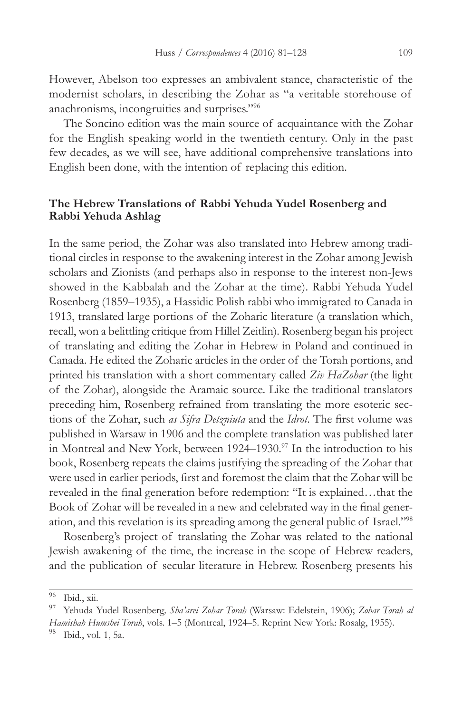However, Abelson too expresses an ambivalent stance, characteristic of the modernist scholars, in describing the Zohar as "a veritable storehouse of anachronisms, incongruities and surprises."96

The Soncino edition was the main source of acquaintance with the Zohar for the English speaking world in the twentieth century. Only in the past few decades, as we will see, have additional comprehensive translations into English been done, with the intention of replacing this edition.

## **The Hebrew Translations of Rabbi Yehuda Yudel Rosenberg and Rabbi Yehuda Ashlag**

In the same period, the Zohar was also translated into Hebrew among traditional circles in response to the awakening interest in the Zohar among Jewish scholars and Zionists (and perhaps also in response to the interest non-Jews showed in the Kabbalah and the Zohar at the time). Rabbi Yehuda Yudel Rosenberg (1859–1935), a Hassidic Polish rabbi who immigrated to Canada in 1913, translated large portions of the Zoharic literature (a translation which, recall, won a belittling critique from Hillel Zeitlin). Rosenberg began his project of translating and editing the Zohar in Hebrew in Poland and continued in Canada. He edited the Zoharic articles in the order of the Torah portions, and printed his translation with a short commentary called *Ziv HaZohar* (the light of the Zohar), alongside the Aramaic source. Like the traditional translators preceding him, Rosenberg refrained from translating the more esoteric sections of the Zohar, such *as Sifra Detzniuta* and the *Idrot*. The first volume was published in Warsaw in 1906 and the complete translation was published later in Montreal and New York, between 1924–1930.97 In the introduction to his book, Rosenberg repeats the claims justifying the spreading of the Zohar that were used in earlier periods, first and foremost the claim that the Zohar will be revealed in the final generation before redemption: "It is explained…that the Book of Zohar will be revealed in a new and celebrated way in the final generation, and this revelation is its spreading among the general public of Israel."98

Rosenberg's project of translating the Zohar was related to the national Jewish awakening of the time, the increase in the scope of Hebrew readers, and the publication of secular literature in Hebrew. Rosenberg presents his

 $\overline{96}$  Ibid., xii.

<sup>97</sup> Yehuda Yudel Rosenberg*, Sha'arei Zohar Torah* (Warsaw: Edelstein, 1906); *Zohar Torah al Hamishah Humshei Torah*, vols. 1–5 (Montreal, 1924–5. Reprint New York: Rosalg, 1955). Ibid., vol. 1, 5a.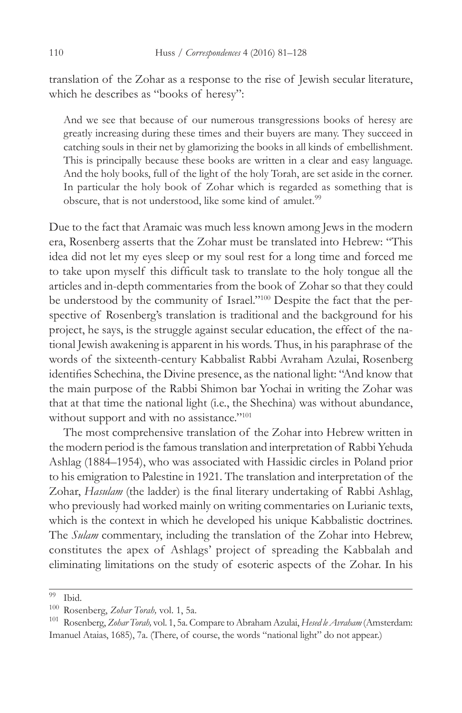translation of the Zohar as a response to the rise of Jewish secular literature, which he describes as "books of heresy":

And we see that because of our numerous transgressions books of heresy are greatly increasing during these times and their buyers are many. They succeed in catching souls in their net by glamorizing the books in all kinds of embellishment. This is principally because these books are written in a clear and easy language. And the holy books, full of the light of the holy Torah, are set aside in the corner. In particular the holy book of Zohar which is regarded as something that is obscure, that is not understood, like some kind of amulet.<sup>99</sup>

Due to the fact that Aramaic was much less known among Jews in the modern era, Rosenberg asserts that the Zohar must be translated into Hebrew: "This idea did not let my eyes sleep or my soul rest for a long time and forced me to take upon myself this difficult task to translate to the holy tongue all the articles and in-depth commentaries from the book of Zohar so that they could be understood by the community of Israel."100 Despite the fact that the perspective of Rosenberg's translation is traditional and the background for his project, he says, is the struggle against secular education, the effect of the national Jewish awakening is apparent in his words. Thus, in his paraphrase of the words of the sixteenth-century Kabbalist Rabbi Avraham Azulai, Rosenberg identifies Schechina, the Divine presence, as the national light: "And know that the main purpose of the Rabbi Shimon bar Yochai in writing the Zohar was that at that time the national light (i.e., the Shechina) was without abundance, without support and with no assistance."<sup>101</sup>

The most comprehensive translation of the Zohar into Hebrew written in the modern period is the famous translation and interpretation of Rabbi Yehuda Ashlag (1884–1954), who was associated with Hassidic circles in Poland prior to his emigration to Palestine in 1921. The translation and interpretation of the Zohar, *Hasulam* (the ladder) is the final literary undertaking of Rabbi Ashlag, who previously had worked mainly on writing commentaries on Lurianic texts, which is the context in which he developed his unique Kabbalistic doctrines. The *Sulam* commentary, including the translation of the Zohar into Hebrew, constitutes the apex of Ashlags' project of spreading the Kabbalah and eliminating limitations on the study of esoteric aspects of the Zohar. In his

 $\overline{^{99}$  Ibid.

<sup>100</sup> Rosenberg, *Zohar Torah,* vol. 1, 5a.

<sup>101</sup> Rosenberg, *Zohar Torah,* vol. 1, 5a. Compare to Abraham Azulai, *Hesed le Avraham* (Amsterdam: Imanuel Ataias, 1685), 7a. (There, of course, the words "national light" do not appear.)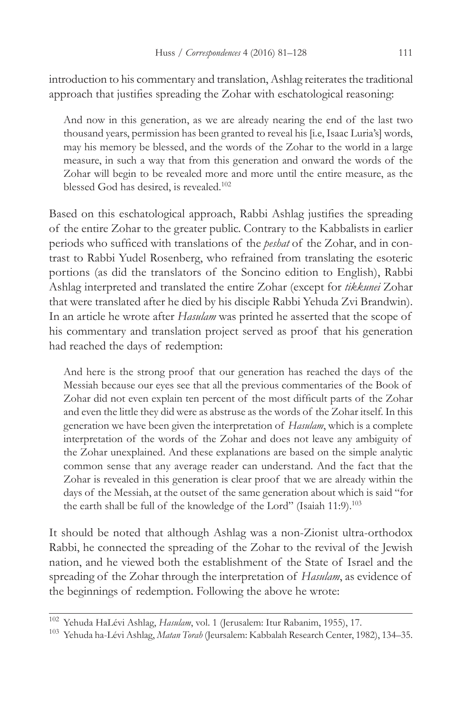introduction to his commentary and translation, Ashlag reiterates the traditional approach that justifies spreading the Zohar with eschatological reasoning:

And now in this generation, as we are already nearing the end of the last two thousand years, permission has been granted to reveal his [i.e, Isaac Luria's] words, may his memory be blessed, and the words of the Zohar to the world in a large measure, in such a way that from this generation and onward the words of the Zohar will begin to be revealed more and more until the entire measure, as the blessed God has desired, is revealed.<sup>102</sup>

Based on this eschatological approach, Rabbi Ashlag justifies the spreading of the entire Zohar to the greater public. Contrary to the Kabbalists in earlier periods who sufficed with translations of the *peshat* of the Zohar, and in contrast to Rabbi Yudel Rosenberg, who refrained from translating the esoteric portions (as did the translators of the Soncino edition to English), Rabbi Ashlag interpreted and translated the entire Zohar (except for *tikkunei* Zohar that were translated after he died by his disciple Rabbi Yehuda Zvi Brandwin). In an article he wrote after *Hasulam* was printed he asserted that the scope of his commentary and translation project served as proof that his generation had reached the days of redemption:

And here is the strong proof that our generation has reached the days of the Messiah because our eyes see that all the previous commentaries of the Book of Zohar did not even explain ten percent of the most difficult parts of the Zohar and even the little they did were as abstruse as the words of the Zohar itself. In this generation we have been given the interpretation of *Hasulam*, which is a complete interpretation of the words of the Zohar and does not leave any ambiguity of the Zohar unexplained. And these explanations are based on the simple analytic common sense that any average reader can understand. And the fact that the Zohar is revealed in this generation is clear proof that we are already within the days of the Messiah, at the outset of the same generation about which is said "for the earth shall be full of the knowledge of the Lord" (Isaiah 11:9).<sup>103</sup>

It should be noted that although Ashlag was a non-Zionist ultra-orthodox Rabbi, he connected the spreading of the Zohar to the revival of the Jewish nation, and he viewed both the establishment of the State of Israel and the spreading of the Zohar through the interpretation of *Hasulam*, as evidence of the beginnings of redemption. Following the above he wrote:

<sup>102</sup> Yehuda HaLévi Ashlag, *Hasulam*, vol. 1 (Jerusalem: Itur Rabanim, 1955), 17.

<sup>103</sup> Yehuda ha-Lévi Ashlag, *Matan Torah* (Jeursalem: Kabbalah Research Center, 1982), 134–35.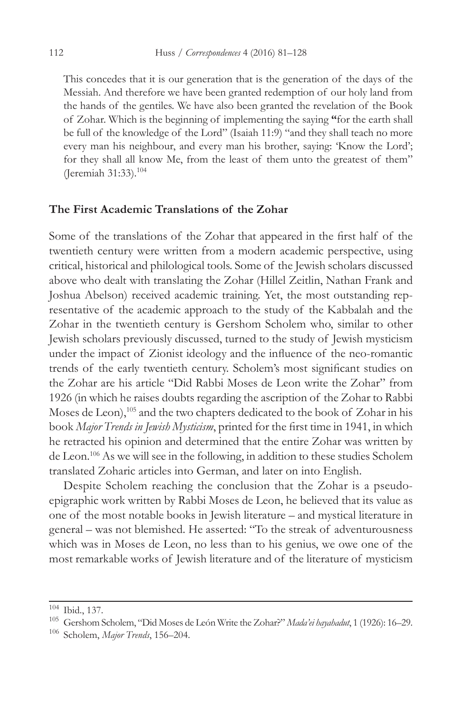This concedes that it is our generation that is the generation of the days of the Messiah. And therefore we have been granted redemption of our holy land from the hands of the gentiles. We have also been granted the revelation of the Book of Zohar. Which is the beginning of implementing the saying **"**for the earth shall be full of the knowledge of the Lord" (Isaiah 11:9) "and they shall teach no more every man his neighbour, and every man his brother, saying: 'Know the Lord'; for they shall all know Me, from the least of them unto the greatest of them" (Jeremiah 31:33).104

# **The First Academic Translations of the Zohar**

Some of the translations of the Zohar that appeared in the first half of the twentieth century were written from a modern academic perspective, using critical, historical and philological tools. Some of the Jewish scholars discussed above who dealt with translating the Zohar (Hillel Zeitlin, Nathan Frank and Joshua Abelson) received academic training. Yet, the most outstanding representative of the academic approach to the study of the Kabbalah and the Zohar in the twentieth century is Gershom Scholem who, similar to other Jewish scholars previously discussed, turned to the study of Jewish mysticism under the impact of Zionist ideology and the influence of the neo-romantic trends of the early twentieth century. Scholem's most significant studies on the Zohar are his article "Did Rabbi Moses de Leon write the Zohar" from 1926 (in which he raises doubts regarding the ascription of the Zohar to Rabbi Moses de Leon),<sup>105</sup> and the two chapters dedicated to the book of Zohar in his book *Major Trends in Jewish Mysticism*, printed for the first time in 1941, in which he retracted his opinion and determined that the entire Zohar was written by de Leon.106 As we will see in the following, in addition to these studies Scholem translated Zoharic articles into German, and later on into English.

Despite Scholem reaching the conclusion that the Zohar is a pseudoepigraphic work written by Rabbi Moses de Leon, he believed that its value as one of the most notable books in Jewish literature – and mystical literature in general – was not blemished. He asserted: "To the streak of adventurousness which was in Moses de Leon, no less than to his genius, we owe one of the most remarkable works of Jewish literature and of the literature of mysticism

<sup>104</sup> Ibid., 137.

<sup>105</sup> Gershom Scholem, "Did Moses de León Write the Zohar?" *Mada'ei hayahadut*, 1 (1926): 16–29.

<sup>106</sup> Scholem, *Major Trends*, 156–204.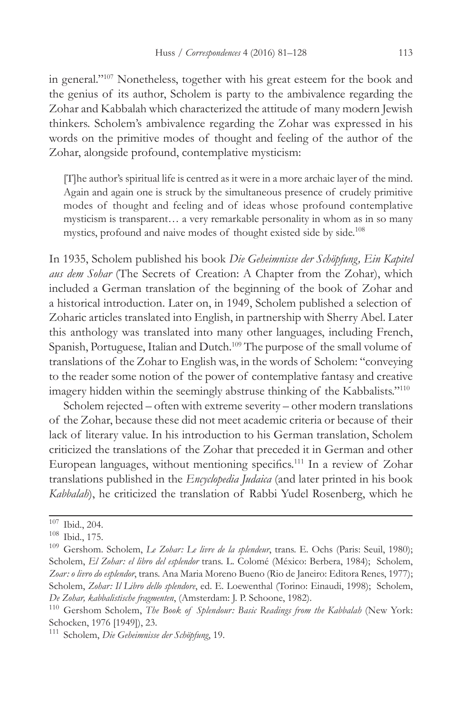in general."107 Nonetheless, together with his great esteem for the book and the genius of its author, Scholem is party to the ambivalence regarding the Zohar and Kabbalah which characterized the attitude of many modern Jewish thinkers. Scholem's ambivalence regarding the Zohar was expressed in his words on the primitive modes of thought and feeling of the author of the Zohar, alongside profound, contemplative mysticism:

[T]he author's spiritual life is centred as it were in a more archaic layer of the mind. Again and again one is struck by the simultaneous presence of crudely primitive modes of thought and feeling and of ideas whose profound contemplative mysticism is transparent… a very remarkable personality in whom as in so many mystics, profound and naive modes of thought existed side by side.108

In 1935, Scholem published his book *Die Geheimnisse der Schöpfung, Ein Kapitel aus dem Sohar* (The Secrets of Creation: A Chapter from the Zohar), which included a German translation of the beginning of the book of Zohar and a historical introduction. Later on, in 1949, Scholem published a selection of Zoharic articles translated into English, in partnership with Sherry Abel. Later this anthology was translated into many other languages, including French, Spanish, Portuguese, Italian and Dutch.<sup>109</sup> The purpose of the small volume of translations of the Zohar to English was, in the words of Scholem: "conveying to the reader some notion of the power of contemplative fantasy and creative imagery hidden within the seemingly abstruse thinking of the Kabbalists."<sup>110</sup>

Scholem rejected – often with extreme severity – other modern translations of the Zohar, because these did not meet academic criteria or because of their lack of literary value. In his introduction to his German translation, Scholem criticized the translations of the Zohar that preceded it in German and other European languages, without mentioning specifics.<sup>111</sup> In a review of Zohar translations published in the *Encyclopedia Judaica* (and later printed in his book *Kabbalah*), he criticized the translation of Rabbi Yudel Rosenberg, which he

 $107$  Ibid., 204.

<sup>108</sup> Ibid., 175.

<sup>109</sup> Gershom. Scholem, *Le Zohar: Le livre de la splendeur*, trans. E. Ochs (Paris: Seuil, 1980); Scholem, *El Zohar: el libro del esplendor* trans. L. Colomé (México: Berbera, 1984); Scholem, *Zoar: o livro do esplendor*, trans. Ana Maria Moreno Bueno (Rio de Janeiro: Editora Renes, 1977); Scholem, *Zohar: Il Libro dello splendore*, ed. E. Loewenthal (Torino: Einaudi, 1998); Scholem, *De Zohar, kabbalistische fragmenten*, (Amsterdam: J. P. Schoone, 1982).

<sup>&</sup>lt;sup>110</sup> Gershom Scholem, *The Book of Splendour: Basic Readings from the Kabbalah* (New York: Schocken, 1976 [1949]), 23.

<sup>111</sup> Scholem, *Die Geheimnisse der Schöpfung*, 19.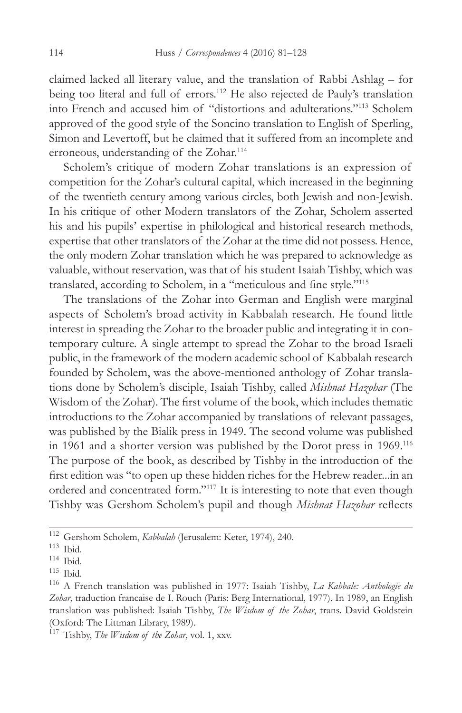claimed lacked all literary value, and the translation of Rabbi Ashlag – for being too literal and full of errors.<sup>112</sup> He also rejected de Pauly's translation into French and accused him of "distortions and adulterations."113 Scholem approved of the good style of the Soncino translation to English of Sperling, Simon and Levertoff, but he claimed that it suffered from an incomplete and erroneous, understanding of the Zohar.<sup>114</sup>

Scholem's critique of modern Zohar translations is an expression of competition for the Zohar's cultural capital, which increased in the beginning of the twentieth century among various circles, both Jewish and non-Jewish. In his critique of other Modern translators of the Zohar, Scholem asserted his and his pupils' expertise in philological and historical research methods, expertise that other translators of the Zohar at the time did not possess. Hence, the only modern Zohar translation which he was prepared to acknowledge as valuable, without reservation, was that of his student Isaiah Tishby, which was translated, according to Scholem, in a "meticulous and fine style."<sup>115</sup>

The translations of the Zohar into German and English were marginal aspects of Scholem's broad activity in Kabbalah research. He found little interest in spreading the Zohar to the broader public and integrating it in contemporary culture. A single attempt to spread the Zohar to the broad Israeli public, in the framework of the modern academic school of Kabbalah research founded by Scholem, was the above-mentioned anthology of Zohar translations done by Scholem's disciple, Isaiah Tishby, called *Mishnat Hazohar* (The Wisdom of the Zohar). The first volume of the book, which includes thematic introductions to the Zohar accompanied by translations of relevant passages, was published by the Bialik press in 1949. The second volume was published in 1961 and a shorter version was published by the Dorot press in 1969.116 The purpose of the book, as described by Tishby in the introduction of the first edition was "to open up these hidden riches for the Hebrew reader...in an ordered and concentrated form."117 It is interesting to note that even though Tishby was Gershom Scholem's pupil and though *Mishnat Hazohar* reflects

<sup>112</sup> Gershom Scholem, *Kabbalah* (Jerusalem: Keter, 1974), 240.

 $^{113}$  Ibid.

<sup>114</sup> Ibid.

<sup>115</sup> Ibid.

<sup>116</sup> A French translation was published in 1977: Isaiah Tishby, *La Kabbale: Anthologie du Zohar*, traduction francaise de I. Rouch (Paris: Berg International, 1977). In 1989, an English translation was published: Isaiah Tishby, *The Wisdom of the Zohar*, trans. David Goldstein (Oxford: The Littman Library, 1989).

<sup>117</sup> Tishby, *The Wisdom of the Zohar*, vol. 1, xxv.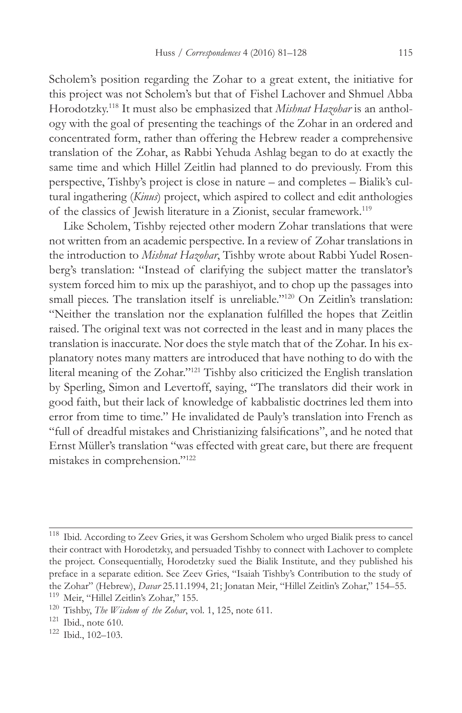Scholem's position regarding the Zohar to a great extent, the initiative for this project was not Scholem's but that of Fishel Lachover and Shmuel Abba Horodotzky.118 It must also be emphasized that *Mishnat Hazohar* is an anthology with the goal of presenting the teachings of the Zohar in an ordered and concentrated form, rather than offering the Hebrew reader a comprehensive translation of the Zohar, as Rabbi Yehuda Ashlag began to do at exactly the same time and which Hillel Zeitlin had planned to do previously. From this perspective, Tishby's project is close in nature – and completes – Bialik's cultural ingathering (*Kinus*) project, which aspired to collect and edit anthologies of the classics of Jewish literature in a Zionist, secular framework.119

Like Scholem, Tishby rejected other modern Zohar translations that were not written from an academic perspective. In a review of Zohar translations in the introduction to *Mishnat Hazohar*, Tishby wrote about Rabbi Yudel Rosenberg's translation: "Instead of clarifying the subject matter the translator's system forced him to mix up the parashiyot, and to chop up the passages into small pieces. The translation itself is unreliable."<sup>120</sup> On Zeitlin's translation: "Neither the translation nor the explanation fulfilled the hopes that Zeitlin raised. The original text was not corrected in the least and in many places the translation is inaccurate. Nor does the style match that of the Zohar. In his explanatory notes many matters are introduced that have nothing to do with the literal meaning of the Zohar."121 Tishby also criticized the English translation by Sperling, Simon and Levertoff, saying, "The translators did their work in good faith, but their lack of knowledge of kabbalistic doctrines led them into error from time to time." He invalidated de Pauly's translation into French as "full of dreadful mistakes and Christianizing falsifications", and he noted that Ernst Müller's translation "was effected with great care, but there are frequent mistakes in comprehension."122

<sup>118</sup> Ibid. According to Zeev Gries, it was Gershom Scholem who urged Bialik press to cancel their contract with Horodetzky, and persuaded Tishby to connect with Lachover to complete the project*.* Consequentially, Horodetzky sued the Bialik Institute, and they published his preface in a separate edition. See Zeev Gries, "Isaiah Tishby's Contribution to the study of the Zohar" (Hebrew), *Davar* 25.11.1994, 21; Jonatan Meir, "Hillel Zeitlin's Zohar," 154–55.

<sup>119</sup> Meir, "Hillel Zeitlin's Zohar," 155.

<sup>120</sup> Tishby, *The Wisdom of the Zohar*, vol. 1, 125, note 611.

<sup>121</sup> Ibid., note 610. 122 Ibid., 102–103.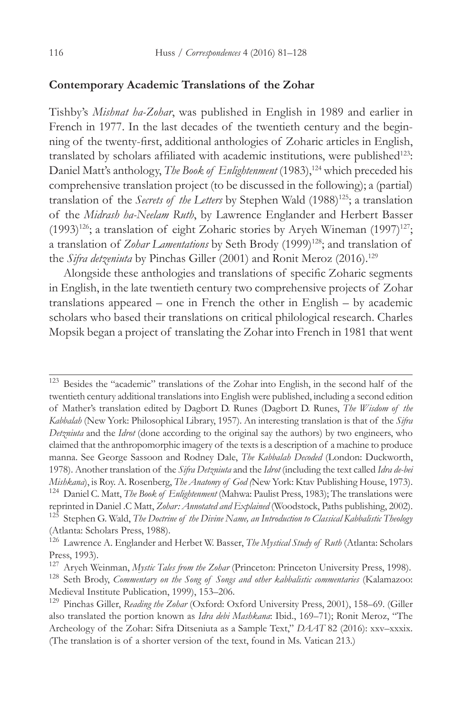### **Contemporary Academic Translations of the Zohar**

Tishby's *Mishnat ha-Zohar*, was published in English in 1989 and earlier in French in 1977. In the last decades of the twentieth century and the beginning of the twenty-first, additional anthologies of Zoharic articles in English, translated by scholars affiliated with academic institutions, were published<sup>123</sup>: Daniel Matt's anthology, *The Book of Enlightenment* (1983),<sup>124</sup> which preceded his comprehensive translation project (to be discussed in the following); a (partial) translation of the *Secrets of the Letters* by Stephen Wald (1988)<sup>125</sup>; a translation of the *Midrash ha-Neelam Ruth*, by Lawrence Englander and Herbert Basser (1993)<sup>126</sup>; a translation of eight Zoharic stories by Aryeh Wineman (1997)<sup>127</sup>; a translation of *Zohar Lamentations* by Seth Brody (1999)<sup>128</sup>; and translation of the *Sifra detzeniuta* by Pinchas Giller (2001) and Ronit Meroz (2016).<sup>129</sup>

Alongside these anthologies and translations of specific Zoharic segments in English, in the late twentieth century two comprehensive projects of Zohar translations appeared – one in French the other in English – by academic scholars who based their translations on critical philological research. Charles Mopsik began a project of translating the Zohar into French in 1981 that went

<sup>123</sup> Besides the "academic" translations of the Zohar into English, in the second half of the twentieth century additional translations into English were published, including a second edition of Mather's translation edited by Dagbort D. Runes (Dagbort D. Runes, *The Wisdom of the Kabbalah* (New York: Philosophical Library, 1957). An interesting translation is that of the *Sifra Detzniuta* and the *Idrot* (done according to the original say the authors) by two engineers, who claimed that the anthropomorphic imagery of the texts is a description of a machine to produce manna. See George Sassoon and Rodney Dale, *The Kabbalah Decoded* (London: Duckworth, 1978). Another translation of the *Sifra Detzniuta* and the *Idrot* (including the text called *Idra de-bei Mishkana*), is Roy. A. Rosenberg, *The Anatomy of God (*New York: Ktav Publishing House, 1973). <sup>124</sup> Daniel C. Matt, *The Book of Enlightenment* (Mahwa: Paulist Press, 1983); The translations were

reprinted in Daniel .C Matt, *Zohar: Annotated and Explained* (Woodstock, Paths publishing, 2002).

<sup>125</sup> Stephen G. Wald, *The Doctrine of the Divine Name, an Introduction to Classical Kabbalistic Theology* (Atlanta: Scholars Press, 1988).

<sup>126</sup> Lawrence A. Englander and Herbet W. Basser, *The Mystical Study of Ruth* (Atlanta: Scholars Press, 1993).

<sup>127</sup> Aryeh Weinman, *Mystic Tales from the Zohar* (Princeton: Princeton University Press, 1998).

<sup>128</sup> Seth Brody, *Commentary on the Song of Songs and other kabbalistic commentaries* (Kalamazoo: Medieval Institute Publication, 1999), 153–206.

<sup>129</sup> Pinchas Giller, *Reading the Zohar* (Oxford: Oxford University Press, 2001), 158–69. (Giller also translated the portion known as *Idra debi Mashkana*: Ibid., 169–71); Ronit Meroz, "The Archeology of the Zohar: Sifra Ditseniuta as a Sample Text," *DAAT* 82 (2016): xxv–xxxix. (The translation is of a shorter version of the text, found in Ms. Vatican 213.)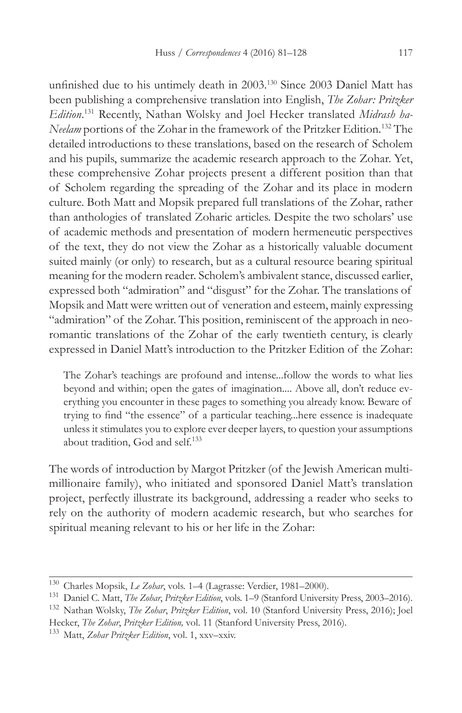unfinished due to his untimely death in 2003.130 Since 2003 Daniel Matt has been publishing a comprehensive translation into English, *The Zohar: Pritzker Edition*. 131 Recently, Nathan Wolsky and Joel Hecker translated *Midrash ha-Neelam* portions of the Zohar in the framework of the Pritzker Edition.132 The detailed introductions to these translations, based on the research of Scholem and his pupils, summarize the academic research approach to the Zohar. Yet, these comprehensive Zohar projects present a different position than that of Scholem regarding the spreading of the Zohar and its place in modern culture. Both Matt and Mopsik prepared full translations of the Zohar, rather than anthologies of translated Zoharic articles. Despite the two scholars' use of academic methods and presentation of modern hermeneutic perspectives of the text, they do not view the Zohar as a historically valuable document suited mainly (or only) to research, but as a cultural resource bearing spiritual meaning for the modern reader. Scholem's ambivalent stance, discussed earlier, expressed both "admiration" and "disgust" for the Zohar. The translations of Mopsik and Matt were written out of veneration and esteem, mainly expressing "admiration" of the Zohar. This position, reminiscent of the approach in neoromantic translations of the Zohar of the early twentieth century, is clearly expressed in Daniel Matt's introduction to the Pritzker Edition of the Zohar:

The Zohar's teachings are profound and intense...follow the words to what lies beyond and within; open the gates of imagination.... Above all, don't reduce everything you encounter in these pages to something you already know. Beware of trying to find "the essence" of a particular teaching...here essence is inadequate unless it stimulates you to explore ever deeper layers, to question your assumptions about tradition, God and self.133

The words of introduction by Margot Pritzker (of the Jewish American multimillionaire family), who initiated and sponsored Daniel Matt's translation project, perfectly illustrate its background, addressing a reader who seeks to rely on the authority of modern academic research, but who searches for spiritual meaning relevant to his or her life in the Zohar:

<sup>130</sup> Charles Mopsik, *Le Zohar*, vols. 1–4 (Lagrasse: Verdier, 1981–2000).

<sup>131</sup> Daniel C. Matt, *The Zohar*, *Pritzker Edition*, vols. 1–9 (Stanford University Press, 2003–2016).

<sup>132</sup> Nathan Wolsky, *The Zohar*, *Pritzker Edition*, vol. 10 (Stanford University Press, 2016); Joel Hecker, *The Zohar*, *Pritzker Edition,* vol. 11 (Stanford University Press, 2016).

<sup>133</sup> Matt, *Zohar Pritzker Edition*, vol. 1, xxv–xxiv.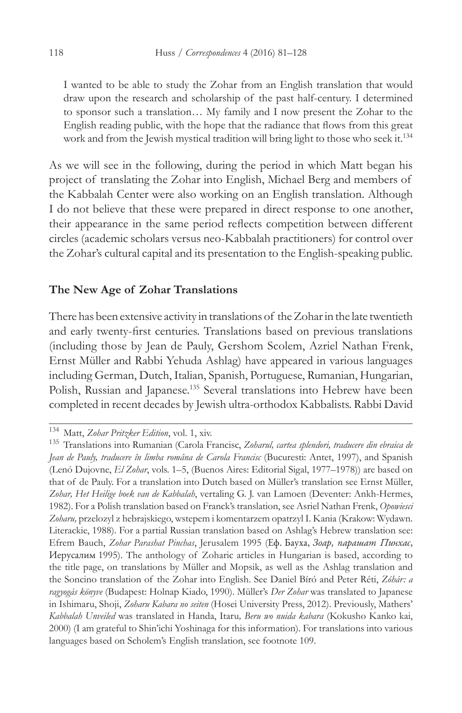I wanted to be able to study the Zohar from an English translation that would draw upon the research and scholarship of the past half-century. I determined to sponsor such a translation… My family and I now present the Zohar to the English reading public, with the hope that the radiance that flows from this great work and from the Jewish mystical tradition will bring light to those who seek it.<sup>134</sup>

As we will see in the following, during the period in which Matt began his project of translating the Zohar into English, Michael Berg and members of the Kabbalah Center were also working on an English translation. Although I do not believe that these were prepared in direct response to one another, their appearance in the same period reflects competition between different circles (academic scholars versus neo-Kabbalah practitioners) for control over the Zohar's cultural capital and its presentation to the English-speaking public.

## **The New Age of Zohar Translations**

There has been extensive activity in translations of the Zohar in the late twentieth and early twenty-first centuries. Translations based on previous translations (including those by Jean de Pauly, Gershom Scolem, Azriel Nathan Frenk, Ernst Müller and Rabbi Yehuda Ashlag) have appeared in various languages including German, Dutch, Italian, Spanish, Portuguese, Rumanian, Hungarian, Polish, Russian and Japanese.135 Several translations into Hebrew have been completed in recent decades by Jewish ultra-orthodox Kabbalists. Rabbi David

<sup>134</sup> Matt, *Zohar Pritzker Edition*, vol. 1, xiv.

<sup>135</sup> Translations into Rumanian (Carola Francisc, *Zoharul, cartea splendori, traducere din ebraica de Jean de Pauly, traducere în limba româna de Carola Francisc* (Bucuresti: Antet, 1997), and Spanish (Lenó Dujovne, *El Zohar*, vols. 1–5, (Buenos Aires: Editorial Sigal, 1977–1978)) are based on that of de Pauly. For a translation into Dutch based on Müller's translation see Ernst Müller, *Zohar, Het Heilige boek van de Kabbalah*, vertaling G. J. van Lamoen (Deventer: Ankh-Hermes, 1982). For a Polish translation based on Franck's translation, see Asriel Nathan Frenk, *Opowiesci Zoharu,* przelozyl z hebrajskiego, wstepem i komentarzem opatrzyl I. Kania (Krakow: Wydawn. Literackie, 1988). For a partial Russian translation based on Ashlag's Hebrew translation see: Efrem Bauch, *Zohar Parashat Pinchas*, Jerusalem 1995 (Еф. Бауха, *Зоар, парашат Пинхас*, Иерусалим 1995). The anthology of Zoharic articles in Hungarian is based, according to the title page, on translations by Müller and Mopsik, as well as the Ashlag translation and the Soncino translation of the Zohar into English. See Daniel Bíró and Peter Réti, *Zóhár: a ragyogás könyve* (Budapest: Holnap Kiado, 1990). Müller's *Der Zohar* was translated to Japanese in Ishimaru, Shoji, *Zoharu Kabara no seiten* (Hosei University Press, 2012). Previously, Mathers' *Kabbalah Unveiled* was translated in Handa, Itaru*, Beru wo nuida kabara* (Kokusho Kanko kai, 2000) (I am grateful to Shin'ichi Yoshinaga for this information). For translations into various languages based on Scholem's English translation, see footnote 109.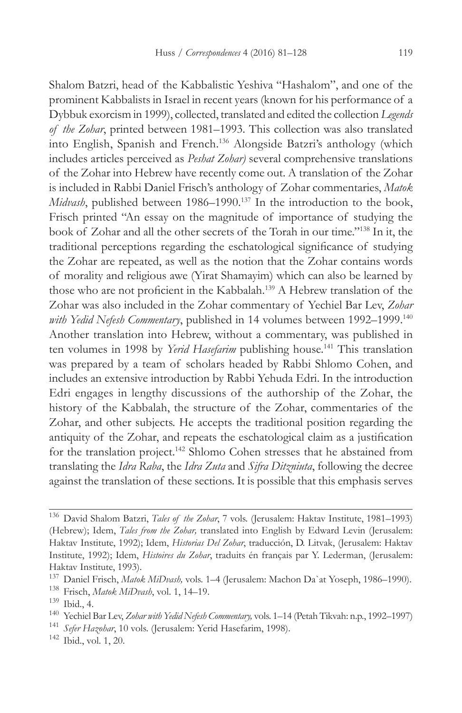Shalom Batzri, head of the Kabbalistic Yeshiva "Hashalom", and one of the prominent Kabbalists in Israel in recent years (known for his performance of a Dybbuk exorcism in 1999), collected, translated and edited the collection *Legends of the Zohar*, printed between 1981–1993. This collection was also translated into English, Spanish and French.136 Alongside Batzri's anthology (which includes articles perceived as *Peshat Zohar)* several comprehensive translations of the Zohar into Hebrew have recently come out. A translation of the Zohar is included in Rabbi Daniel Frisch's anthology of Zohar commentaries, *Matok Midvash*, published between 1986–1990.<sup>137</sup> In the introduction to the book, Frisch printed "An essay on the magnitude of importance of studying the book of Zohar and all the other secrets of the Torah in our time."138 In it, the traditional perceptions regarding the eschatological significance of studying the Zohar are repeated, as well as the notion that the Zohar contains words of morality and religious awe (Yirat Shamayim) which can also be learned by those who are not proficient in the Kabbalah.<sup>139</sup> A Hebrew translation of the Zohar was also included in the Zohar commentary of Yechiel Bar Lev, *Zohar with Yedid Nefesh Commentary*, published in 14 volumes between 1992–1999.140 Another translation into Hebrew, without a commentary, was published in ten volumes in 1998 by *Yerid Hasefarim* publishing house.<sup>141</sup> This translation was prepared by a team of scholars headed by Rabbi Shlomo Cohen, and includes an extensive introduction by Rabbi Yehuda Edri. In the introduction Edri engages in lengthy discussions of the authorship of the Zohar, the history of the Kabbalah, the structure of the Zohar, commentaries of the Zohar, and other subjects. He accepts the traditional position regarding the antiquity of the Zohar, and repeats the eschatological claim as a justification for the translation project.142 Shlomo Cohen stresses that he abstained from translating the *Idra Raba*, the *Idra Zuta* and *Sifra Ditzniuta*, following the decree against the translation of these sections. It is possible that this emphasis serves

<sup>136</sup> David Shalom Batzri, *Tales of the Zohar*, 7 vols. (Jerusalem: Haktav Institute, 1981–1993) (Hebrew); Idem, *Tales from the Zohar,* translated into English by Edward Levin (Jerusalem: Haktav Institute, 1992); Idem, *Historias Del Zohar*, traducción, D. Litvak, (Jerusalem: Haktav Institute, 1992); Idem, *Histoires du Zohar*, traduits én français par Y. Lederman, (Jerusalem: Haktav Institute, 1993).

<sup>137</sup> Daniel Frisch, *Matok MiDvash,* vols. 1–4 (Jerusalem: Machon Da`at Yoseph, 1986–1990).

<sup>138</sup> Frisch, *Matok MiDvash*, vol. 1, 14–19.

<sup>139</sup> Ibid., 4.

<sup>140</sup> Yechiel Bar Lev, *Zohar with Yedid Nefesh Commentary,* vols. 1–14 (Petah Tikvah: n.p., 1992–1997)

<sup>141</sup> *Sefer Hazohar*, 10 vols. (Jerusalem: Yerid Hasefarim, 1998).

<sup>142</sup> Ibid., vol. 1, 20.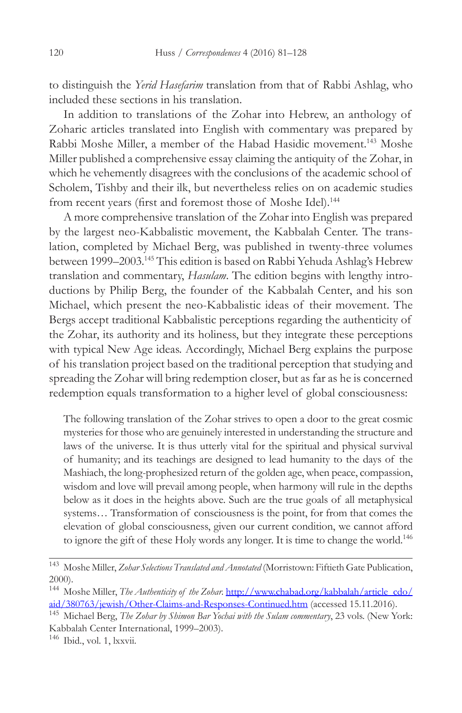to distinguish the *Yerid Hasefarim* translation from that of Rabbi Ashlag, who included these sections in his translation.

In addition to translations of the Zohar into Hebrew, an anthology of Zoharic articles translated into English with commentary was prepared by Rabbi Moshe Miller, a member of the Habad Hasidic movement.143 Moshe Miller published a comprehensive essay claiming the antiquity of the Zohar, in which he vehemently disagrees with the conclusions of the academic school of Scholem, Tishby and their ilk, but nevertheless relies on on academic studies from recent years (first and foremost those of Moshe Idel).<sup>144</sup>

A more comprehensive translation of the Zohar into English was prepared by the largest neo-Kabbalistic movement, the Kabbalah Center. The translation, completed by Michael Berg, was published in twenty-three volumes between 1999–2003.145 This edition is based on Rabbi Yehuda Ashlag's Hebrew translation and commentary, *Hasulam*. The edition begins with lengthy introductions by Philip Berg, the founder of the Kabbalah Center, and his son Michael, which present the neo-Kabbalistic ideas of their movement. The Bergs accept traditional Kabbalistic perceptions regarding the authenticity of the Zohar, its authority and its holiness, but they integrate these perceptions with typical New Age ideas. Accordingly, Michael Berg explains the purpose of his translation project based on the traditional perception that studying and spreading the Zohar will bring redemption closer, but as far as he is concerned redemption equals transformation to a higher level of global consciousness:

The following translation of the Zohar strives to open a door to the great cosmic mysteries for those who are genuinely interested in understanding the structure and laws of the universe. It is thus utterly vital for the spiritual and physical survival of humanity; and its teachings are designed to lead humanity to the days of the Mashiach, the long-prophesized return of the golden age, when peace, compassion, wisdom and love will prevail among people, when harmony will rule in the depths below as it does in the heights above. Such are the true goals of all metaphysical systems… Transformation of consciousness is the point, for from that comes the elevation of global consciousness, given our current condition, we cannot afford to ignore the gift of these Holy words any longer. It is time to change the world.146

<sup>143</sup> Moshe Miller, *Zohar Selections Translated and Annotated* (Morristown: Fiftieth Gate Publication, 2000).

<sup>&</sup>lt;sup>144</sup> Moshe Miller, *The Authenticity of the Zohar.* http://www.chabad.org/kabbalah/article\_cdo/ aid/380763/jewish/Other-Claims-and-Responses-Continued.htm (accessed 15.11.2016).

<sup>145</sup> Michael Berg, *The Zohar by Shimon Bar Yochai with the Sulam commentary*, 23 vols. (New York: Kabbalah Center International, 1999–2003).

<sup>146</sup> Ibid., vol. 1, lxxvii.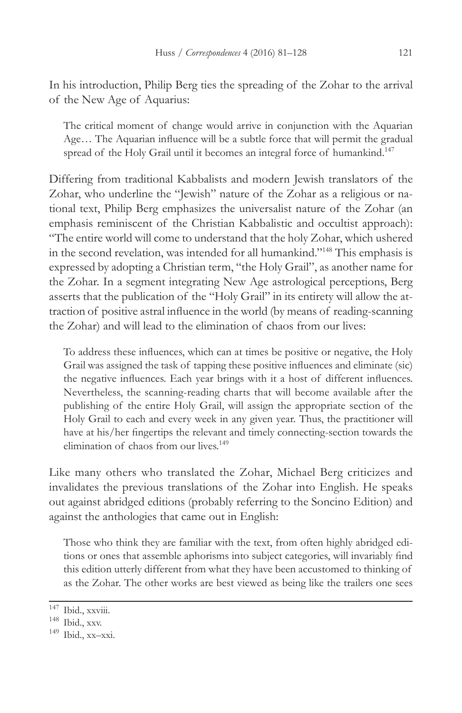In his introduction, Philip Berg ties the spreading of the Zohar to the arrival of the New Age of Aquarius:

The critical moment of change would arrive in conjunction with the Aquarian Age… The Aquarian influence will be a subtle force that will permit the gradual spread of the Holy Grail until it becomes an integral force of humankind.<sup>147</sup>

Differing from traditional Kabbalists and modern Jewish translators of the Zohar, who underline the "Jewish" nature of the Zohar as a religious or national text, Philip Berg emphasizes the universalist nature of the Zohar (an emphasis reminiscent of the Christian Kabbalistic and occultist approach): "The entire world will come to understand that the holy Zohar, which ushered in the second revelation, was intended for all humankind."148 This emphasis is expressed by adopting a Christian term, "the Holy Grail", as another name for the Zohar. In a segment integrating New Age astrological perceptions, Berg asserts that the publication of the "Holy Grail" in its entirety will allow the attraction of positive astral influence in the world (by means of reading-scanning the Zohar) and will lead to the elimination of chaos from our lives:

To address these influences, which can at times be positive or negative, the Holy Grail was assigned the task of tapping these positive influences and eliminate (sic) the negative influences. Each year brings with it a host of different influences. Nevertheless, the scanning-reading charts that will become available after the publishing of the entire Holy Grail, will assign the appropriate section of the Holy Grail to each and every week in any given year. Thus, the practitioner will have at his/her fingertips the relevant and timely connecting-section towards the elimination of chaos from our lives.<sup>149</sup>

Like many others who translated the Zohar, Michael Berg criticizes and invalidates the previous translations of the Zohar into English. He speaks out against abridged editions (probably referring to the Soncino Edition) and against the anthologies that came out in English:

Those who think they are familiar with the text, from often highly abridged editions or ones that assemble aphorisms into subject categories, will invariably find this edition utterly different from what they have been accustomed to thinking of as the Zohar. The other works are best viewed as being like the trailers one sees

 $\overline{147}$  Ibid., xxviii.

<sup>148</sup> Ibid., xxv.

<sup>149</sup> Ibid., xx–xxi.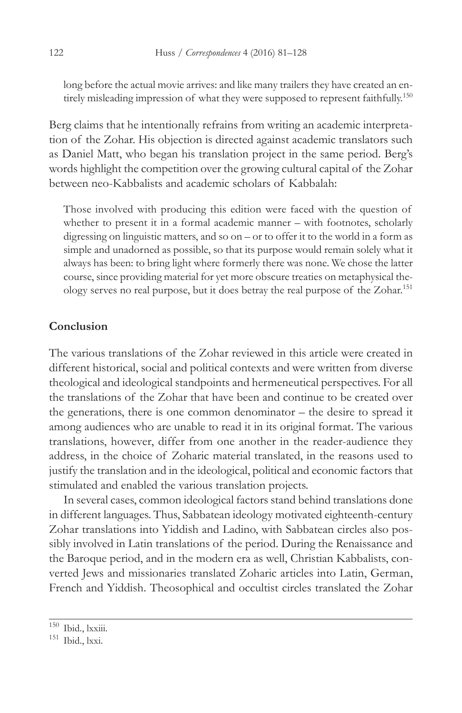long before the actual movie arrives: and like many trailers they have created an entirely misleading impression of what they were supposed to represent faithfully.150

Berg claims that he intentionally refrains from writing an academic interpretation of the Zohar. His objection is directed against academic translators such as Daniel Matt, who began his translation project in the same period. Berg's words highlight the competition over the growing cultural capital of the Zohar between neo-Kabbalists and academic scholars of Kabbalah:

Those involved with producing this edition were faced with the question of whether to present it in a formal academic manner – with footnotes, scholarly digressing on linguistic matters, and so on – or to offer it to the world in a form as simple and unadorned as possible, so that its purpose would remain solely what it always has been: to bring light where formerly there was none. We chose the latter course, since providing material for yet more obscure treaties on metaphysical theology serves no real purpose, but it does betray the real purpose of the Zohar.<sup>151</sup>

# **Conclusion**

The various translations of the Zohar reviewed in this article were created in different historical, social and political contexts and were written from diverse theological and ideological standpoints and hermeneutical perspectives. For all the translations of the Zohar that have been and continue to be created over the generations, there is one common denominator – the desire to spread it among audiences who are unable to read it in its original format. The various translations, however, differ from one another in the reader-audience they address, in the choice of Zoharic material translated, in the reasons used to justify the translation and in the ideological, political and economic factors that stimulated and enabled the various translation projects.

In several cases, common ideological factors stand behind translations done in different languages. Thus, Sabbatean ideology motivated eighteenth-century Zohar translations into Yiddish and Ladino, with Sabbatean circles also possibly involved in Latin translations of the period. During the Renaissance and the Baroque period, and in the modern era as well, Christian Kabbalists, converted Jews and missionaries translated Zoharic articles into Latin, German, French and Yiddish. Theosophical and occultist circles translated the Zohar

<sup>150</sup> Ibid., lxxiii.

<sup>151</sup> Ibid., lxxi.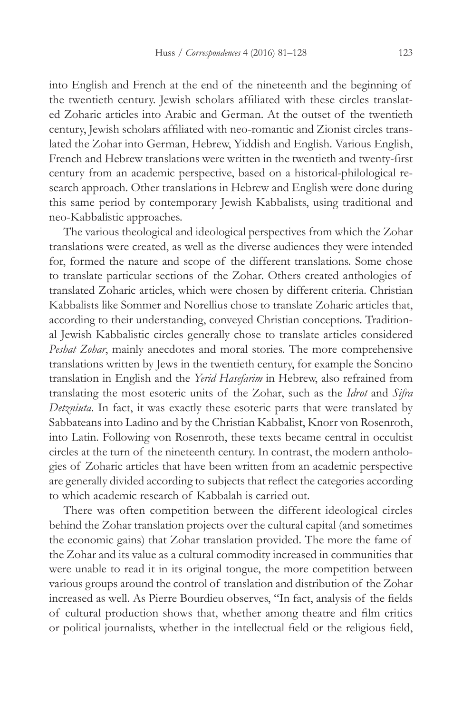into English and French at the end of the nineteenth and the beginning of the twentieth century. Jewish scholars affiliated with these circles translated Zoharic articles into Arabic and German. At the outset of the twentieth century, Jewish scholars affiliated with neo-romantic and Zionist circles translated the Zohar into German, Hebrew, Yiddish and English. Various English, French and Hebrew translations were written in the twentieth and twenty-first century from an academic perspective, based on a historical-philological research approach. Other translations in Hebrew and English were done during this same period by contemporary Jewish Kabbalists, using traditional and neo-Kabbalistic approaches.

The various theological and ideological perspectives from which the Zohar translations were created, as well as the diverse audiences they were intended for, formed the nature and scope of the different translations. Some chose to translate particular sections of the Zohar. Others created anthologies of translated Zoharic articles, which were chosen by different criteria. Christian Kabbalists like Sommer and Norellius chose to translate Zoharic articles that, according to their understanding, conveyed Christian conceptions. Traditional Jewish Kabbalistic circles generally chose to translate articles considered *Peshat Zohar*, mainly anecdotes and moral stories. The more comprehensive translations written by Jews in the twentieth century, for example the Soncino translation in English and the *Yerid Hasefarim* in Hebrew, also refrained from translating the most esoteric units of the Zohar, such as the *Idrot* and *Sifra Detzniuta*. In fact, it was exactly these esoteric parts that were translated by Sabbateans into Ladino and by the Christian Kabbalist, Knorr von Rosenroth, into Latin. Following von Rosenroth, these texts became central in occultist circles at the turn of the nineteenth century. In contrast, the modern anthologies of Zoharic articles that have been written from an academic perspective are generally divided according to subjects that reflect the categories according to which academic research of Kabbalah is carried out.

There was often competition between the different ideological circles behind the Zohar translation projects over the cultural capital (and sometimes the economic gains) that Zohar translation provided. The more the fame of the Zohar and its value as a cultural commodity increased in communities that were unable to read it in its original tongue, the more competition between various groups around the control of translation and distribution of the Zohar increased as well. As Pierre Bourdieu observes, "In fact, analysis of the fields of cultural production shows that, whether among theatre and film critics or political journalists, whether in the intellectual field or the religious field,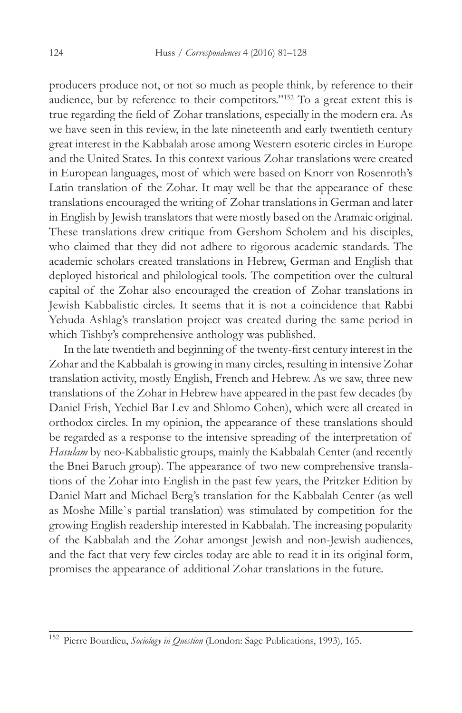producers produce not, or not so much as people think, by reference to their audience, but by reference to their competitors."152 To a great extent this is true regarding the field of Zohar translations, especially in the modern era. As we have seen in this review, in the late nineteenth and early twentieth century great interest in the Kabbalah arose among Western esoteric circles in Europe and the United States. In this context various Zohar translations were created in European languages, most of which were based on Knorr von Rosenroth's Latin translation of the Zohar. It may well be that the appearance of these translations encouraged the writing of Zohar translations in German and later in English by Jewish translators that were mostly based on the Aramaic original. These translations drew critique from Gershom Scholem and his disciples, who claimed that they did not adhere to rigorous academic standards. The academic scholars created translations in Hebrew, German and English that deployed historical and philological tools. The competition over the cultural capital of the Zohar also encouraged the creation of Zohar translations in Jewish Kabbalistic circles. It seems that it is not a coincidence that Rabbi Yehuda Ashlag's translation project was created during the same period in which Tishby's comprehensive anthology was published.

In the late twentieth and beginning of the twenty-first century interest in the Zohar and the Kabbalah is growing in many circles, resulting in intensive Zohar translation activity, mostly English, French and Hebrew. As we saw, three new translations of the Zohar in Hebrew have appeared in the past few decades (by Daniel Frish, Yechiel Bar Lev and Shlomo Cohen), which were all created in orthodox circles. In my opinion, the appearance of these translations should be regarded as a response to the intensive spreading of the interpretation of *Hasulam* by neo-Kabbalistic groups, mainly the Kabbalah Center (and recently the Bnei Baruch group). The appearance of two new comprehensive translations of the Zohar into English in the past few years, the Pritzker Edition by Daniel Matt and Michael Berg's translation for the Kabbalah Center (as well as Moshe Mille`s partial translation) was stimulated by competition for the growing English readership interested in Kabbalah. The increasing popularity of the Kabbalah and the Zohar amongst Jewish and non-Jewish audiences, and the fact that very few circles today are able to read it in its original form, promises the appearance of additional Zohar translations in the future.

<sup>152</sup> Pierre Bourdieu, *Sociology in Question* (London: Sage Publications, 1993), 165.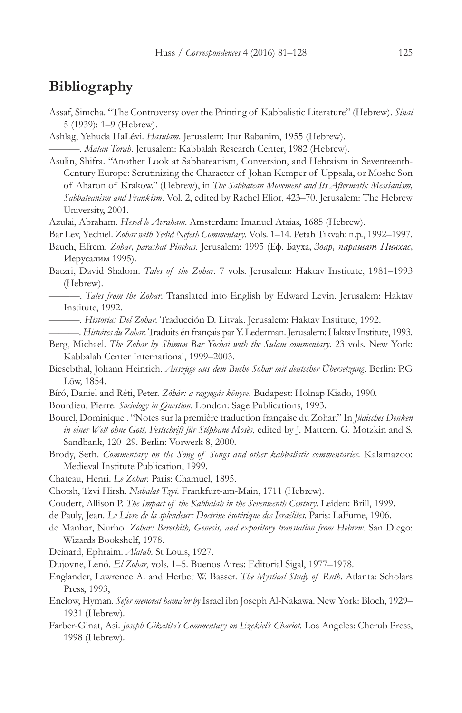# **Bibliography**

- Assaf, Simcha. "The Controversy over the Printing of Kabbalistic Literature" (Hebrew). *Sinai* 5 (1939): 1–9 (Hebrew).
- Ashlag, Yehuda HaLévi. *Hasulam*. Jerusalem: Itur Rabanim, 1955 (Hebrew).

———. *Matan Torah*. Jerusalem: Kabbalah Research Center, 1982 (Hebrew).

- Asulin, Shifra. "Another Look at Sabbateanism, Conversion, and Hebraism in Seventeenth-Century Europe: Scrutinizing the Character of Johan Kemper of Uppsala, or Moshe Son of Aharon of Krakow." (Hebrew), in *The Sabbatean Movement and Its Aftermath: Messianism, Sabbateanism and Frankism*. Vol. 2, edited by Rachel Elior, 423–70. Jerusalem: The Hebrew University, 2001.
- Azulai, Abraham. *Hesed le Avraham*. Amsterdam: Imanuel Ataias, 1685 (Hebrew).
- Bar Lev, Yechiel. *Zohar with Yedid Nefesh Commentary*. Vols. 1–14*.* Petah Tikvah: n.p., 1992–1997.
- Bauch, Efrem. *Zohar, parashat Pinchas*. Jerusalem: 1995 (Еф. Бауха, *Зоар, парашат Пинхас*, Иерусалим 1995).
- Batzri, David Shalom. *Tales of the Zohar*. 7 vols. Jerusalem: Haktav Institute, 1981–1993 (Hebrew).
	- ———. *Tales from the Zohar*. Translated into English by Edward Levin. Jerusalem: Haktav Institute, 1992.
	- ———. *Historias Del Zohar*. Traducción D. Litvak. Jerusalem: Haktav Institute, 1992.
	- ———. *Histoires du Zohar*. Traduits én français par Y. Lederman. Jerusalem: Haktav Institute, 1993.
- Berg, Michael. *The Zohar by Shimon Bar Yochai with the Sulam commentary*. 23 vols. New York: Kabbalah Center International, 1999–2003.
- Biesebthal, Johann Heinrich. *Auszüge aus dem Buche Sohar mit deutscher Übersetzung.* Berlin: P.G Löw, 1854.
- Bíró, Daniel and Réti, Peter. *Zóhár: a ragyogás könyve*. Budapest: Holnap Kiado, 1990.
- Bourdieu, Pierre. *Sociology in Question*. London: Sage Publications, 1993.
- Bourel, Dominique . "Notes sur la première traduction française du Zohar." In *Jüdisches Denken in einer Welt ohne Gott, Festschrift für Stéphane Mosès*, edited by J. Mattern, G. Motzkin and S. Sandbank, 120–29. Berlin: Vorwerk 8, 2000.
- Brody, Seth. *Commentary on the Song of Songs and other kabbalistic commentaries.* Kalamazoo: Medieval Institute Publication, 1999.
- Chateau, Henri. *Le Zohar.* Paris: Chamuel, 1895.
- Chotsh, Tzvi Hirsh. *Nahalat Tzvi*. Frankfurt-am-Main, 1711 (Hebrew).
- Coudert, Allison P. *The Impact of the Kabbalah in the Seventeenth Century.* Leiden: Brill, 1999.
- de Pauly, Jean. *Le Livre de la splendeur: Doctrine ésotérique des Israélites*. Paris: LaFume, 1906.
- de Manhar, Nurho*. Zohar: Bereshith, Genesis, and expository translation from Hebrew*. San Diego: Wizards Bookshelf, 1978.
- Deinard, Ephraim. *Alatah*. St Louis, 1927.
- Dujovne, Lenó. *El Zohar*, vols. 1–5. Buenos Aires: Editorial Sigal, 1977–1978.
- Englander, Lawrence A. and Herbet W. Basser. *The Mystical Study of Ruth*. Atlanta: Scholars Press, 1993,
- Enelow, Hyman. *Sefer menorat hama'or by* Israel ibn Joseph Al-Nakawa. New York: Bloch, 1929– 1931 (Hebrew).
- Farber-Ginat, Asi. *Joseph Gikatila's Commentary on Ezekiel's Chariot.* Los Angeles: Cherub Press, 1998 (Hebrew).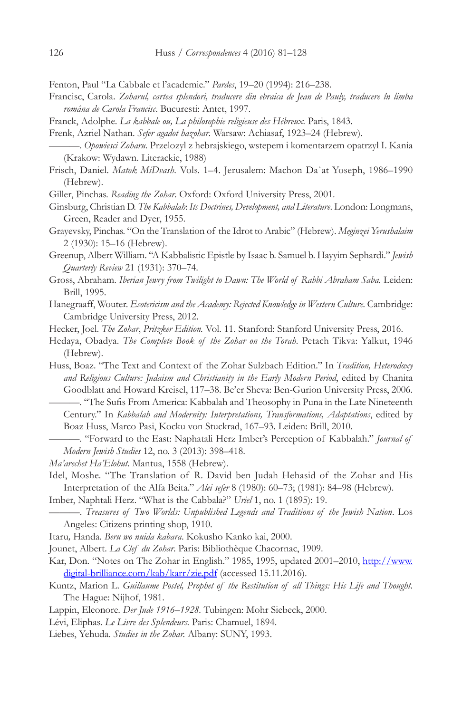Fenton, Paul "La Cabbale et l'academie." *Pardes*, 19–20 (1994): 216–238.

- Francisc, Carola. *Zoharul, cartea splendori, traducere din ebraica de Jean de Pauly, traducere în limba româna de Carola Francisc*. Bucuresti: Antet, 1997.
- Franck, Adolphe. *La kabbale ou, La philosophie religieuse des Hébreux.* Paris, 1843.

Frenk, Azriel Nathan. *Sefer agadot hazohar*. Warsaw: Achiasaf, 1923–24 (Hebrew).

- ———. *Opowiesci Zoharu.* Przelozyl z hebrajskiego, wstepem i komentarzem opatrzyl I. Kania (Krakow: Wydawn. Literackie, 1988)
- Frisch, Daniel. *Matok MiDvash.* Vols. 1–4. Jerusalem: Machon Da`at Yoseph, 1986–1990 (Hebrew).

Giller, Pinchas. *Reading the Zohar*. Oxford: Oxford University Press, 2001.

- Ginsburg, Christian D. *The Kabbalah*: *Its Doctrines, Development, and Literature*. London: Longmans, Green, Reader and Dyer, 1955.
- Grayevsky, Pinchas. "On the Translation of the Idrot to Arabic" (Hebrew). *Meginzei Yerushalaim* 2 (1930): 15–16 (Hebrew).
- Greenup, Albert William. "A Kabbalistic Epistle by Isaac b. Samuel b. Hayyim Sephardi." *Jewish Quarterly Review* 21 (1931): 370–74.
- Gross, Abraham. *Iberian Jewry from Twilight to Dawn: The World of Rabbi Abraham Saba.* Leiden: Brill, 1995.
- Hanegraaff, Wouter. *Esotericism and the Academy: Rejected Knowledge in Western Culture.* Cambridge: Cambridge University Press, 2012.
- Hecker, Joel. *The Zohar*, *Pritzker Edition.* Vol. 11. Stanford: Stanford University Press, 2016.
- Hedaya, Obadya. *The Complete Book of the Zohar on the Torah.* Petach Tikva: Yalkut, 1946 (Hebrew).

Huss, Boaz. "The Text and Context of the Zohar Sulzbach Edition." In *Tradition, Heterodoxy and Religious Culture: Judaism and Christianity in the Early Modern Period*, edited by Chanita Goodblatt and Howard Kreisel, 117–38. Be'er Sheva: Ben-Gurion University Press, 2006.

———. "The Sufis From America: Kabbalah and Theosophy in Puna in the Late Nineteenth Century." In *Kabbalah and Modernity: Interpretations, Transformations, Adaptations*, edited by Boaz Huss, Marco Pasi, Kocku von Stuckrad, 167–93. Leiden: Brill, 2010.

———. "Forward to the East: Naphatali Herz Imber's Perception of Kabbalah." *Journal of Modern Jewish Studies* 12, no. 3 (2013): 398–418.

- *Ma'arechet Ha'Elohut.* Mantua, 1558 (Hebrew).
- Idel, Moshe. "The Translation of R. David ben Judah Hehasid of the Zohar and His Interpretation of the Alfa Beita." *Alei sefer* 8 (1980): 60–73; (1981): 84–98 (Hebrew).

Imber, Naphtali Herz. "What is the Cabbala?" *Uriel* 1, no. 1 (1895): 19.

———. *Treasures of Two Worlds: Unpublished Legends and Traditions of the Jewish Nation*. Los Angeles: Citizens printing shop, 1910.

Itaru*,* Handa. *Beru wo nuida kabara*. Kokusho Kanko kai, 2000.

Jounet, Albert. *La Clef du Zohar*. Paris: Bibliothèque Chacornac, 1909.

- Kar, Don. "Notes on The Zohar in English." 1985, 1995, updated 2001–2010, http://www. digital-brilliance.com/kab/karr/zie.pdf (accessed 15.11.2016).
- Kuntz, Marion L. *Guillaume Postel, Prophet of the Restitution of all Things: His Life and Thought*. The Hague: Nijhof, 1981.
- Lappin, Eleonore. *Der Jude 1916–1928.* Tubingen: Mohr Siebeck, 2000.
- Lévi, Eliphas. *Le Livre des Splendeurs*. Paris: Chamuel, 1894.
- Liebes, Yehuda. *Studies in the Zohar.* Albany: SUNY, 1993.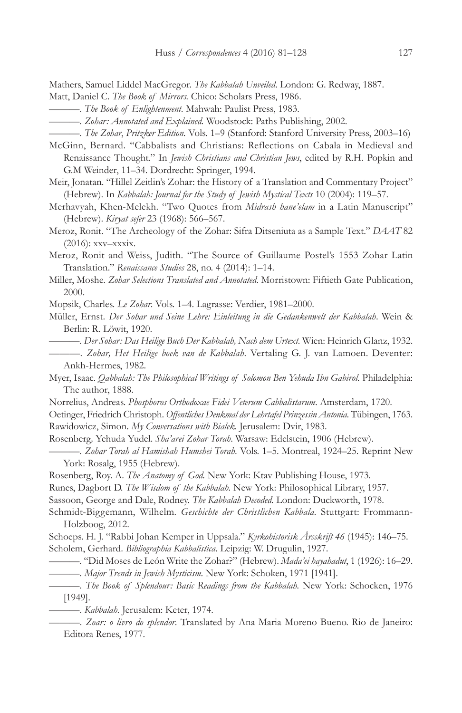Mathers, Samuel Liddel MacGregor. *The Kabbalah Unveiled*. London: G. Redway, 1887.

- Matt, Daniel C. *The Book of Mirrors.* Chico: Scholars Press, 1986.
- ———. *The Book of Enlightenment*. Mahwah: Paulist Press, 1983.
	- ———. *Zohar: Annotated and Explained.* Woodstock: Paths Publishing, 2002.
- ———. *The Zohar*, *Pritzker Edition.* Vols. 1–9 (Stanford: Stanford University Press, 2003–16)
- McGinn, Bernard. "Cabbalists and Christians: Reflections on Cabala in Medieval and Renaissance Thought." In *Jewish Christians and Christian Jews*, edited by R.H. Popkin and G.M Weinder, 11–34. Dordrecht: Springer, 1994.
- Meir, Jonatan. "Hillel Zeitlin's Zohar: the History of a Translation and Commentary Project" (Hebrew). In *Kabbalah: Journal for the Study of Jewish Mystical Texts* 10 (2004): 119–57.
- Merhavyah, Khen-Melekh. "Two Quotes from *Midrash hane'elam* in a Latin Manuscript" (Hebrew). *Kiryat sefer* 23 (1968): 566–567.
- Meroz, Ronit. "The Archeology of the Zohar: Sifra Ditseniuta as a Sample Text." *DAAT* 82 (2016): xxv–xxxix.
- Meroz, Ronit and Weiss, Judith. "The Source of Guillaume Postel's 1553 Zohar Latin Translation." *Renaissance Studies* 28, no. 4 (2014): 1–14.
- Miller, Moshe. *Zohar Selections Translated and Annotated*. Morristown: Fiftieth Gate Publication, 2000.

Mopsik, Charles. *Le Zohar*. Vols. 1–4. Lagrasse: Verdier, 1981–2000.

- Müller, Ernst. *Der Sohar und Seine Lehre: Einleitung in die Gedankenwelt der Kabbalah*. Wein & Berlin: R. Löwit, 1920.
	- ———. *Der Sohar: Das Heilige Buch Der Kabbalah, Nach dem Urtext.* Wien: Heinrich Glanz, 1932.
	- ———. *Zohar, Het Heilige boek van de Kabbalah*. Vertaling G. J. van Lamoen. Deventer: Ankh-Hermes, 1982.
- Myer, Isaac. *Qabbalah: The Philosophical Writings of Solomon Ben Yehuda Ibn Gabirol.* Philadelphia: The author, 1888.
- Norrelius, Andreas. *Phosphoros Orthodoxae Fidei Veterum Cabbalistarum*. Amsterdam, 1720.
- Oetinger, Friedrich Christoph. *Offentliches Denkmal der Lehrtafel Prinzessin Antonia*. Tübingen, 1763. Rawidowicz, Simon. *My Conversations with Bialek.* Jerusalem: Dvir, 1983.
- Rosenberg*,* Yehuda Yudel. *Sha'arei Zohar Torah*. Warsaw: Edelstein, 1906 (Hebrew).
- ———. *Zohar Torah al Hamishah Humshei Torah*. Vols. 1–5. Montreal, 1924–25. Reprint New York: Rosalg, 1955 (Hebrew).
- Rosenberg, Roy. A. *The Anatomy of God.* New York: Ktav Publishing House, 1973.
- Runes, Dagbort D. *The Wisdom of the Kabbalah.* New York: Philosophical Library, 1957.

Sassoon, George and Dale, Rodney. *The Kabbalah Decoded.* London: Duckworth, 1978.

- Schmidt-Biggemann, Wilhelm*. Geschichte der Christlichen Kabbala.* Stuttgart: Frommann-Holzboog, 2012.
- Schoeps. H. J. "Rabbi Johan Kemper in Uppsala." *Kyrkohistorisk Årsskrift 46* (1945): 146–75. Scholem, Gerhard. *Bibliographia Kabbalistica.* Leipzig: W. Drugulin, 1927.
	- ———. "Did Moses de León Write the Zohar?" (Hebrew). *Mada'ei hayahadut*, 1 (1926): 16–29. ———. *Major Trends in Jewish Mysticism*. New York: Schoken, 1971 [1941].
- ———. *The Book of Splendour: Basic Readings from the Kabbalah.* New York: Schocken, 1976 [1949].

———. *Kabbalah.* Jerusalem: Keter, 1974.

———. *Zoar: o livro do splendor*. Translated by Ana Maria Moreno Bueno. Rio de Janeiro: Editora Renes, 1977.